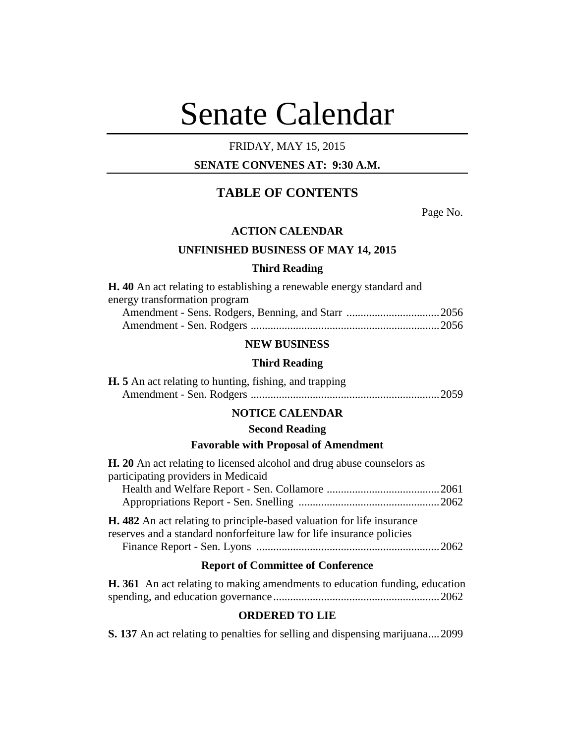# Senate Calendar

# FRIDAY, MAY 15, 2015

# **SENATE CONVENES AT: 9:30 A.M.**

# **TABLE OF CONTENTS**

Page No.

#### **ACTION CALENDAR**

# **UNFINISHED BUSINESS OF MAY 14, 2015**

## **Third Reading**

| <b>H.</b> 40 An act relating to establishing a renewable energy standard and |  |
|------------------------------------------------------------------------------|--|
| energy transformation program                                                |  |
|                                                                              |  |
|                                                                              |  |

# **NEW BUSINESS**

#### **Third Reading**

| <b>H.</b> 5 An act relating to hunting, fishing, and trapping |  |
|---------------------------------------------------------------|--|
|                                                               |  |

# **NOTICE CALENDAR**

# **Second Reading**

# **Favorable with Proposal of Amendment**

| <b>H.</b> 20 An act relating to licensed alcohol and drug abuse counselors as |  |
|-------------------------------------------------------------------------------|--|
| participating providers in Medicaid                                           |  |
|                                                                               |  |
|                                                                               |  |
| <b>H.</b> 482 An act relating to principle-based valuation for life insurance |  |
| reserves and a standard nonforfeiture law for life insurance policies         |  |

| reber veb and a biandard nomonement faw for me mbarance bonereb |
|-----------------------------------------------------------------|
|                                                                 |

# **Report of Committee of Conference**

| <b>H.</b> 361 An act relating to making amendments to education funding, education |  |  |
|------------------------------------------------------------------------------------|--|--|
|                                                                                    |  |  |

# **ORDERED TO LIE**

**S. 137** An act relating to penalties for selling and dispensing marijuana....2099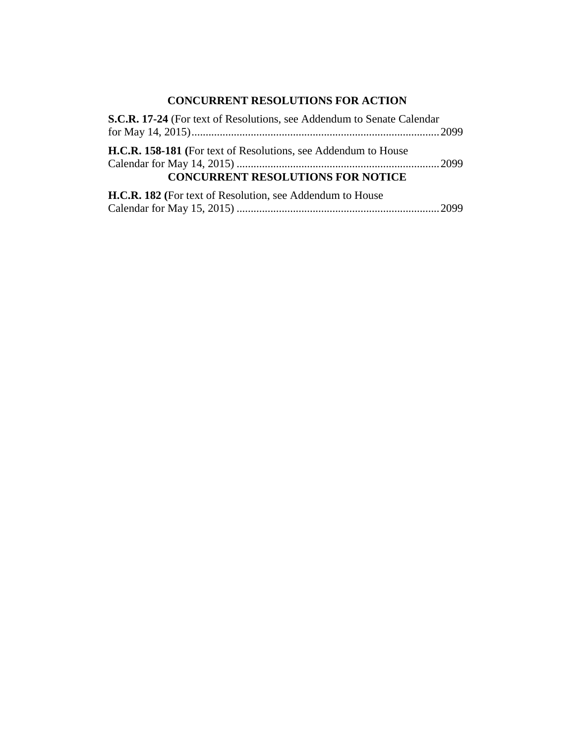# **CONCURRENT RESOLUTIONS FOR ACTION**

| S.C.R. 17-24 (For text of Resolutions, see Addendum to Senate Calendar |  |
|------------------------------------------------------------------------|--|
|                                                                        |  |
| <b>H.C.R. 158-181</b> (For text of Resolutions, see Addendum to House  |  |
|                                                                        |  |
| <b>CONCURRENT RESOLUTIONS FOR NOTICE</b>                               |  |
| H.C.R. 182 (For text of Resolution, see Addendum to House              |  |
|                                                                        |  |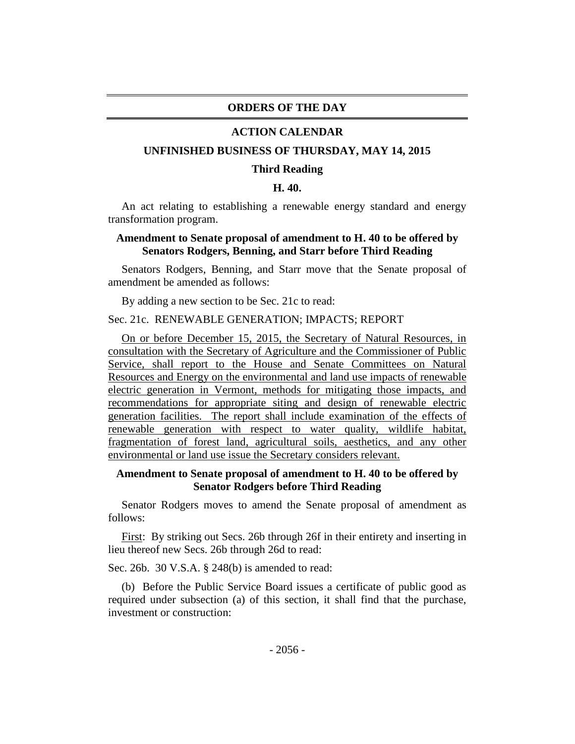#### **ORDERS OF THE DAY**

#### **ACTION CALENDAR**

#### **UNFINISHED BUSINESS OF THURSDAY, MAY 14, 2015**

#### **Third Reading**

#### **H. 40.**

An act relating to establishing a renewable energy standard and energy transformation program.

# **Amendment to Senate proposal of amendment to H. 40 to be offered by Senators Rodgers, Benning, and Starr before Third Reading**

Senators Rodgers, Benning, and Starr move that the Senate proposal of amendment be amended as follows:

By adding a new section to be Sec. 21c to read:

#### Sec. 21c. RENEWABLE GENERATION; IMPACTS; REPORT

On or before December 15, 2015, the Secretary of Natural Resources, in consultation with the Secretary of Agriculture and the Commissioner of Public Service, shall report to the House and Senate Committees on Natural Resources and Energy on the environmental and land use impacts of renewable electric generation in Vermont, methods for mitigating those impacts, and recommendations for appropriate siting and design of renewable electric generation facilities. The report shall include examination of the effects of renewable generation with respect to water quality, wildlife habitat, fragmentation of forest land, agricultural soils, aesthetics, and any other environmental or land use issue the Secretary considers relevant.

#### **Amendment to Senate proposal of amendment to H. 40 to be offered by Senator Rodgers before Third Reading**

Senator Rodgers moves to amend the Senate proposal of amendment as follows:

First: By striking out Secs. 26b through 26f in their entirety and inserting in lieu thereof new Secs. 26b through 26d to read:

Sec. 26b. 30 V.S.A. § 248(b) is amended to read:

(b) Before the Public Service Board issues a certificate of public good as required under subsection (a) of this section, it shall find that the purchase, investment or construction: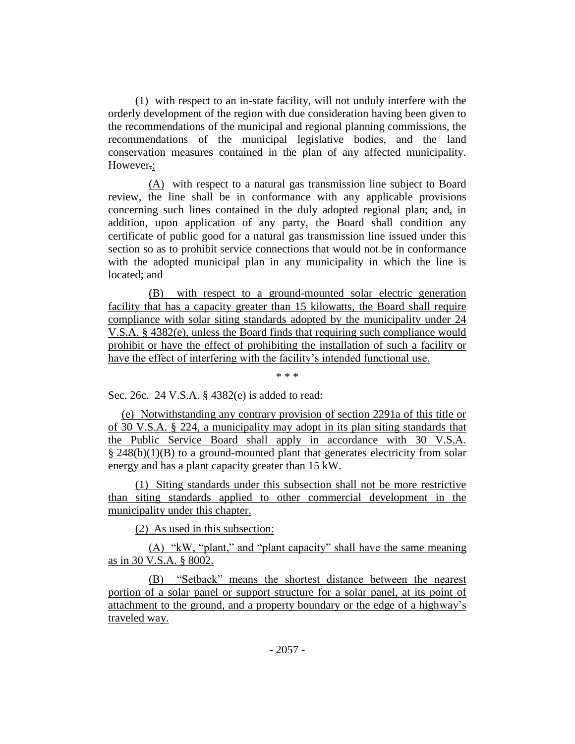(1) with respect to an in-state facility, will not unduly interfere with the orderly development of the region with due consideration having been given to the recommendations of the municipal and regional planning commissions, the recommendations of the municipal legislative bodies, and the land conservation measures contained in the plan of any affected municipality. However,:

(A) with respect to a natural gas transmission line subject to Board review, the line shall be in conformance with any applicable provisions concerning such lines contained in the duly adopted regional plan; and, in addition, upon application of any party, the Board shall condition any certificate of public good for a natural gas transmission line issued under this section so as to prohibit service connections that would not be in conformance with the adopted municipal plan in any municipality in which the line is located; and

(B) with respect to a ground-mounted solar electric generation facility that has a capacity greater than 15 kilowatts, the Board shall require compliance with solar siting standards adopted by the municipality under 24 V.S.A. § 4382(e), unless the Board finds that requiring such compliance would prohibit or have the effect of prohibiting the installation of such a facility or have the effect of interfering with the facility's intended functional use.

\* \* \*

Sec. 26c. 24 V.S.A. § 4382(e) is added to read:

(e) Notwithstanding any contrary provision of section 2291a of this title or of 30 V.S.A. § 224, a municipality may adopt in its plan siting standards that the Public Service Board shall apply in accordance with 30 V.S.A. § 248(b)(1)(B) to a ground-mounted plant that generates electricity from solar energy and has a plant capacity greater than 15 kW.

(1) Siting standards under this subsection shall not be more restrictive than siting standards applied to other commercial development in the municipality under this chapter.

(2) As used in this subsection:

(A) "kW, "plant," and "plant capacity" shall have the same meaning as in 30 V.S.A. § 8002.

(B) "Setback" means the shortest distance between the nearest portion of a solar panel or support structure for a solar panel, at its point of attachment to the ground, and a property boundary or the edge of a highway's traveled way.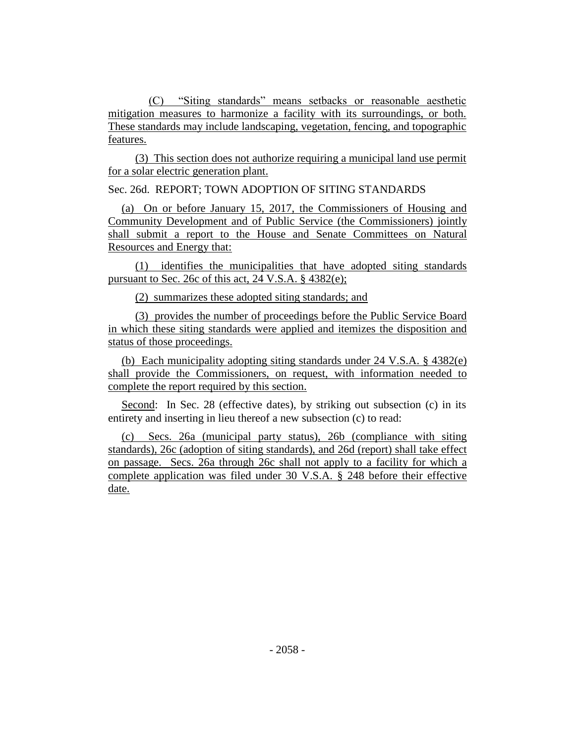(C) "Siting standards" means setbacks or reasonable aesthetic mitigation measures to harmonize a facility with its surroundings, or both. These standards may include landscaping, vegetation, fencing, and topographic features.

(3) This section does not authorize requiring a municipal land use permit for a solar electric generation plant.

Sec. 26d. REPORT; TOWN ADOPTION OF SITING STANDARDS

(a) On or before January 15, 2017, the Commissioners of Housing and Community Development and of Public Service (the Commissioners) jointly shall submit a report to the House and Senate Committees on Natural Resources and Energy that:

(1) identifies the municipalities that have adopted siting standards pursuant to Sec. 26c of this act, 24 V.S.A. § 4382(e);

(2) summarizes these adopted siting standards; and

(3) provides the number of proceedings before the Public Service Board in which these siting standards were applied and itemizes the disposition and status of those proceedings.

(b) Each municipality adopting siting standards under 24 V.S.A. § 4382(e) shall provide the Commissioners, on request, with information needed to complete the report required by this section.

Second: In Sec. 28 (effective dates), by striking out subsection (c) in its entirety and inserting in lieu thereof a new subsection (c) to read:

(c) Secs. 26a (municipal party status), 26b (compliance with siting standards), 26c (adoption of siting standards), and 26d (report) shall take effect on passage. Secs. 26a through 26c shall not apply to a facility for which a complete application was filed under 30 V.S.A. § 248 before their effective date.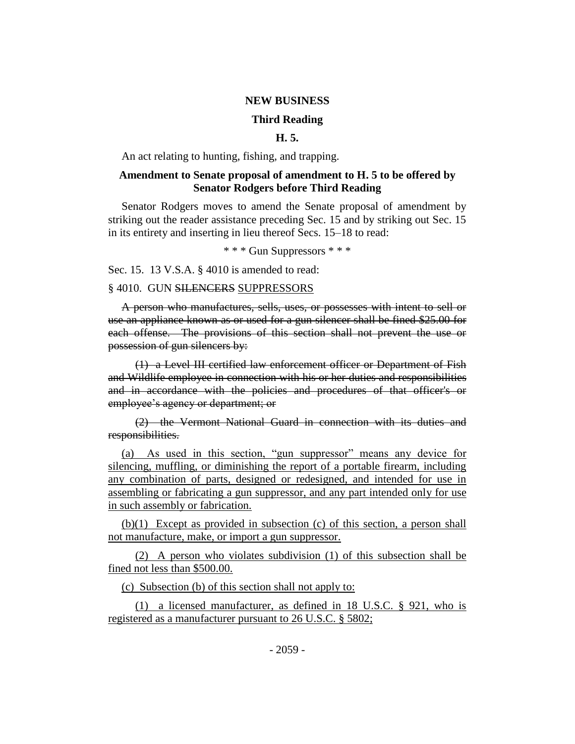#### **NEW BUSINESS**

#### **Third Reading**

# **H. 5.**

An act relating to hunting, fishing, and trapping.

# **Amendment to Senate proposal of amendment to H. 5 to be offered by Senator Rodgers before Third Reading**

Senator Rodgers moves to amend the Senate proposal of amendment by striking out the reader assistance preceding Sec. 15 and by striking out Sec. 15 in its entirety and inserting in lieu thereof Secs. 15–18 to read:

\* \* \* Gun Suppressors \* \* \*

Sec. 15. 13 V.S.A. § 4010 is amended to read:

#### § 4010. GUN SILENCERS SUPPRESSORS

A person who manufactures, sells, uses, or possesses with intent to sell or use an appliance known as or used for a gun silencer shall be fined \$25.00 for each offense. The provisions of this section shall not prevent the use or possession of gun silencers by:

(1) a Level III certified law enforcement officer or Department of Fish and Wildlife employee in connection with his or her duties and responsibilities and in accordance with the policies and procedures of that officer's or employee's agency or department; or

(2) the Vermont National Guard in connection with its duties and responsibilities.

(a) As used in this section, "gun suppressor" means any device for silencing, muffling, or diminishing the report of a portable firearm, including any combination of parts, designed or redesigned, and intended for use in assembling or fabricating a gun suppressor, and any part intended only for use in such assembly or fabrication.

(b)(1) Except as provided in subsection (c) of this section, a person shall not manufacture, make, or import a gun suppressor.

(2) A person who violates subdivision (1) of this subsection shall be fined not less than \$500.00.

(c) Subsection (b) of this section shall not apply to:

(1) a licensed manufacturer, as defined in 18 U.S.C. § 921, who is registered as a manufacturer pursuant to 26 U.S.C. § 5802;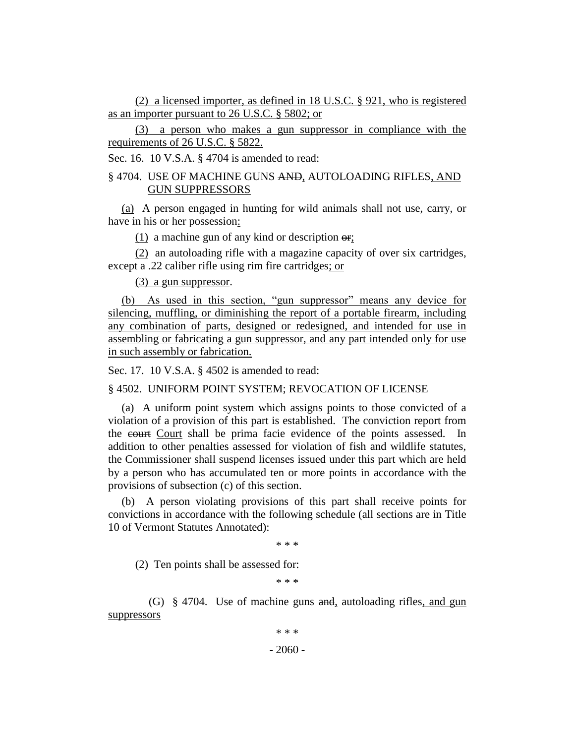(2) a licensed importer, as defined in 18 U.S.C. § 921, who is registered as an importer pursuant to 26 U.S.C. § 5802; or

(3) a person who makes a gun suppressor in compliance with the requirements of 26 U.S.C. § 5822.

Sec. 16. 10 V.S.A. § 4704 is amended to read:

# § 4704. USE OF MACHINE GUNS AND, AUTOLOADING RIFLES, AND GUN SUPPRESSORS

(a) A person engaged in hunting for wild animals shall not use, carry, or have in his or her possession:

 $(1)$  a machine gun of any kind or description  $\Theta$ ;

(2) an autoloading rifle with a magazine capacity of over six cartridges, except a .22 caliber rifle using rim fire cartridges; or

(3) a gun suppressor.

(b) As used in this section, "gun suppressor" means any device for silencing, muffling, or diminishing the report of a portable firearm, including any combination of parts, designed or redesigned, and intended for use in assembling or fabricating a gun suppressor, and any part intended only for use in such assembly or fabrication.

Sec. 17. 10 V.S.A. § 4502 is amended to read:

§ 4502. UNIFORM POINT SYSTEM; REVOCATION OF LICENSE

(a) A uniform point system which assigns points to those convicted of a violation of a provision of this part is established. The conviction report from the court Court shall be prima facie evidence of the points assessed. In addition to other penalties assessed for violation of fish and wildlife statutes, the Commissioner shall suspend licenses issued under this part which are held by a person who has accumulated ten or more points in accordance with the provisions of subsection (c) of this section.

(b) A person violating provisions of this part shall receive points for convictions in accordance with the following schedule (all sections are in Title 10 of Vermont Statutes Annotated):

\* \* \*

(2) Ten points shall be assessed for:

\* \* \*

(G) § 4704. Use of machine guns and, autoloading rifles, and gun suppressors

 $-2060 -$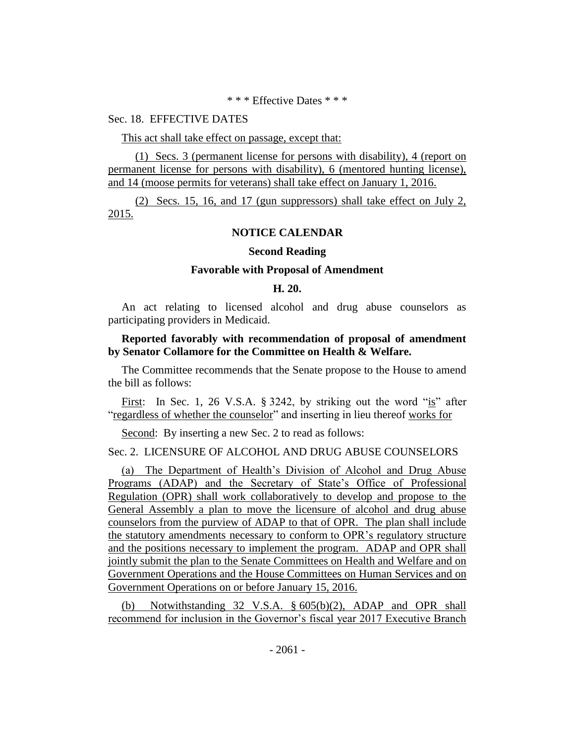#### \* \* \* Effective Dates \* \* \*

#### Sec. 18. EFFECTIVE DATES

This act shall take effect on passage, except that:

(1) Secs. 3 (permanent license for persons with disability), 4 (report on permanent license for persons with disability), 6 (mentored hunting license), and 14 (moose permits for veterans) shall take effect on January 1, 2016.

(2) Secs. 15, 16, and 17 (gun suppressors) shall take effect on July 2, 2015.

# **NOTICE CALENDAR**

#### **Second Reading**

#### **Favorable with Proposal of Amendment**

#### **H. 20.**

An act relating to licensed alcohol and drug abuse counselors as participating providers in Medicaid.

### **Reported favorably with recommendation of proposal of amendment by Senator Collamore for the Committee on Health & Welfare.**

The Committee recommends that the Senate propose to the House to amend the bill as follows:

First: In Sec. 1, 26 V.S.A. § 3242, by striking out the word "is" after "regardless of whether the counselor" and inserting in lieu thereof works for

Second: By inserting a new Sec. 2 to read as follows:

# Sec. 2. LICENSURE OF ALCOHOL AND DRUG ABUSE COUNSELORS

(a) The Department of Health's Division of Alcohol and Drug Abuse Programs (ADAP) and the Secretary of State's Office of Professional Regulation (OPR) shall work collaboratively to develop and propose to the General Assembly a plan to move the licensure of alcohol and drug abuse counselors from the purview of ADAP to that of OPR. The plan shall include the statutory amendments necessary to conform to OPR's regulatory structure and the positions necessary to implement the program. ADAP and OPR shall jointly submit the plan to the Senate Committees on Health and Welfare and on Government Operations and the House Committees on Human Services and on Government Operations on or before January 15, 2016.

(b) Notwithstanding 32 V.S.A. § 605(b)(2), ADAP and OPR shall recommend for inclusion in the Governor's fiscal year 2017 Executive Branch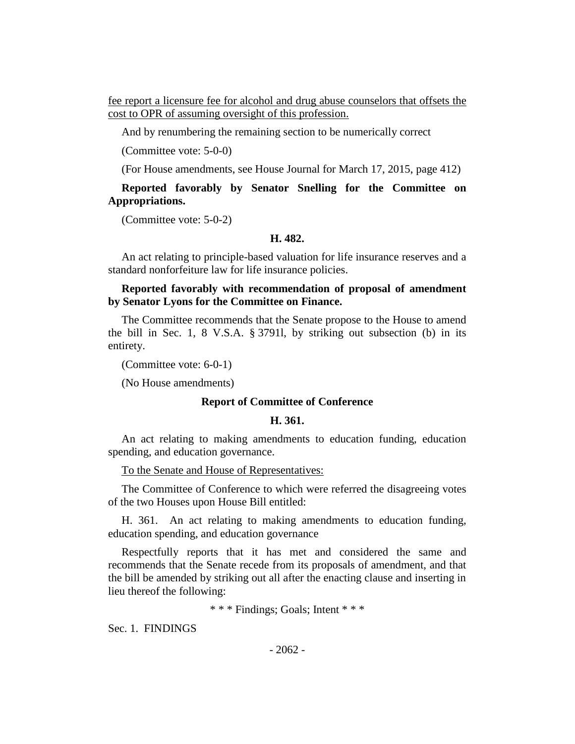fee report a licensure fee for alcohol and drug abuse counselors that offsets the cost to OPR of assuming oversight of this profession.

And by renumbering the remaining section to be numerically correct

(Committee vote: 5-0-0)

(For House amendments, see House Journal for March 17, 2015, page 412)

**Reported favorably by Senator Snelling for the Committee on Appropriations.**

(Committee vote: 5-0-2)

#### **H. 482.**

An act relating to principle-based valuation for life insurance reserves and a standard nonforfeiture law for life insurance policies.

# **Reported favorably with recommendation of proposal of amendment by Senator Lyons for the Committee on Finance.**

The Committee recommends that the Senate propose to the House to amend the bill in Sec. 1, 8 V.S.A. § 3791l, by striking out subsection (b) in its entirety.

(Committee vote: 6-0-1)

(No House amendments)

#### **Report of Committee of Conference**

#### **H. 361.**

An act relating to making amendments to education funding, education spending, and education governance.

To the Senate and House of Representatives:

The Committee of Conference to which were referred the disagreeing votes of the two Houses upon House Bill entitled:

H. 361. An act relating to making amendments to education funding, education spending, and education governance

Respectfully reports that it has met and considered the same and recommends that the Senate recede from its proposals of amendment, and that the bill be amended by striking out all after the enacting clause and inserting in lieu thereof the following:

\* \* \* Findings; Goals; Intent \* \* \*

Sec. 1. FINDINGS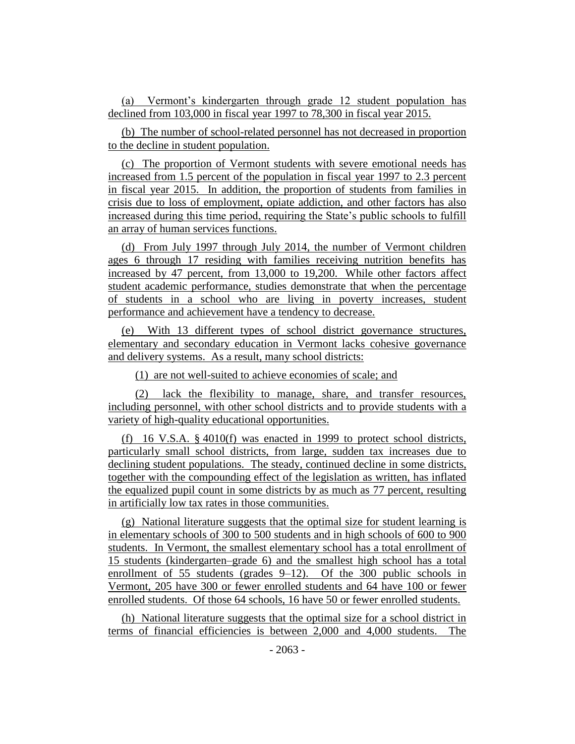(a) Vermont's kindergarten through grade 12 student population has declined from 103,000 in fiscal year 1997 to 78,300 in fiscal year 2015.

(b) The number of school-related personnel has not decreased in proportion to the decline in student population.

(c) The proportion of Vermont students with severe emotional needs has increased from 1.5 percent of the population in fiscal year 1997 to 2.3 percent in fiscal year 2015. In addition, the proportion of students from families in crisis due to loss of employment, opiate addiction, and other factors has also increased during this time period, requiring the State's public schools to fulfill an array of human services functions.

(d) From July 1997 through July 2014, the number of Vermont children ages 6 through 17 residing with families receiving nutrition benefits has increased by 47 percent, from 13,000 to 19,200. While other factors affect student academic performance, studies demonstrate that when the percentage of students in a school who are living in poverty increases, student performance and achievement have a tendency to decrease.

(e) With 13 different types of school district governance structures, elementary and secondary education in Vermont lacks cohesive governance and delivery systems. As a result, many school districts:

(1) are not well-suited to achieve economies of scale; and

(2) lack the flexibility to manage, share, and transfer resources, including personnel, with other school districts and to provide students with a variety of high-quality educational opportunities.

(f) 16 V.S.A. § 4010(f) was enacted in 1999 to protect school districts, particularly small school districts, from large, sudden tax increases due to declining student populations. The steady, continued decline in some districts, together with the compounding effect of the legislation as written, has inflated the equalized pupil count in some districts by as much as 77 percent, resulting in artificially low tax rates in those communities.

(g) National literature suggests that the optimal size for student learning is in elementary schools of 300 to 500 students and in high schools of 600 to 900 students. In Vermont, the smallest elementary school has a total enrollment of 15 students (kindergarten–grade 6) and the smallest high school has a total enrollment of 55 students (grades 9–12). Of the 300 public schools in Vermont, 205 have 300 or fewer enrolled students and 64 have 100 or fewer enrolled students. Of those 64 schools, 16 have 50 or fewer enrolled students.

(h) National literature suggests that the optimal size for a school district in terms of financial efficiencies is between 2,000 and 4,000 students. The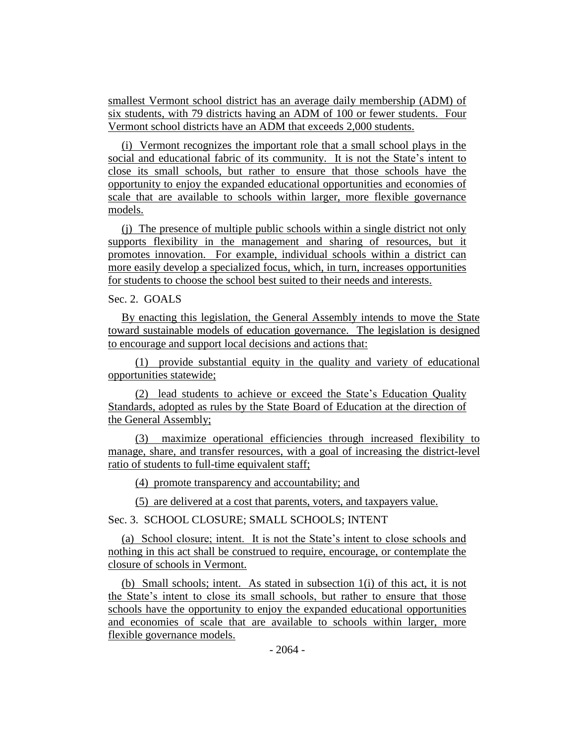smallest Vermont school district has an average daily membership (ADM) of six students, with 79 districts having an ADM of 100 or fewer students. Four Vermont school districts have an ADM that exceeds 2,000 students.

(i) Vermont recognizes the important role that a small school plays in the social and educational fabric of its community. It is not the State's intent to close its small schools, but rather to ensure that those schools have the opportunity to enjoy the expanded educational opportunities and economies of scale that are available to schools within larger, more flexible governance models.

(j) The presence of multiple public schools within a single district not only supports flexibility in the management and sharing of resources, but it promotes innovation. For example, individual schools within a district can more easily develop a specialized focus, which, in turn, increases opportunities for students to choose the school best suited to their needs and interests.

#### Sec. 2. GOALS

By enacting this legislation, the General Assembly intends to move the State toward sustainable models of education governance. The legislation is designed to encourage and support local decisions and actions that:

(1) provide substantial equity in the quality and variety of educational opportunities statewide;

(2) lead students to achieve or exceed the State's Education Quality Standards, adopted as rules by the State Board of Education at the direction of the General Assembly;

(3) maximize operational efficiencies through increased flexibility to manage, share, and transfer resources, with a goal of increasing the district-level ratio of students to full-time equivalent staff;

(4) promote transparency and accountability; and

(5) are delivered at a cost that parents, voters, and taxpayers value.

Sec. 3. SCHOOL CLOSURE; SMALL SCHOOLS; INTENT

(a) School closure; intent. It is not the State's intent to close schools and nothing in this act shall be construed to require, encourage, or contemplate the closure of schools in Vermont.

(b) Small schools; intent. As stated in subsection 1(i) of this act, it is not the State's intent to close its small schools, but rather to ensure that those schools have the opportunity to enjoy the expanded educational opportunities and economies of scale that are available to schools within larger, more flexible governance models.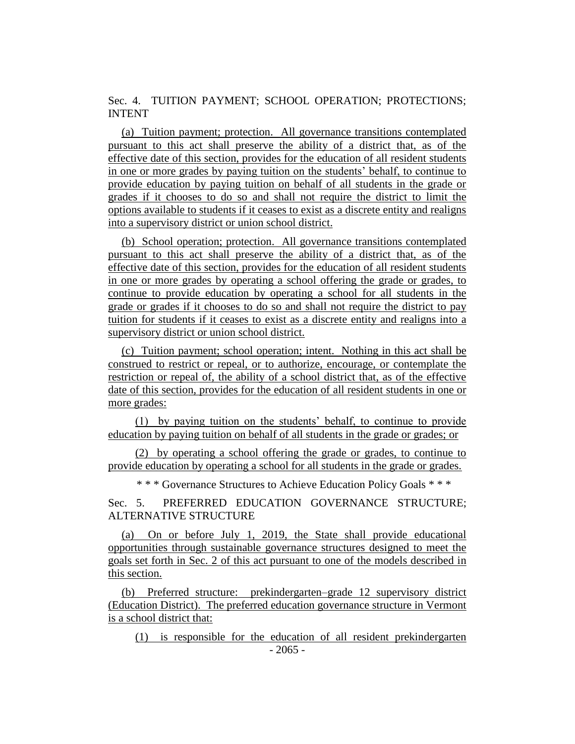Sec. 4. TUITION PAYMENT; SCHOOL OPERATION; PROTECTIONS; INTENT

(a) Tuition payment; protection. All governance transitions contemplated pursuant to this act shall preserve the ability of a district that, as of the effective date of this section, provides for the education of all resident students in one or more grades by paying tuition on the students' behalf, to continue to provide education by paying tuition on behalf of all students in the grade or grades if it chooses to do so and shall not require the district to limit the options available to students if it ceases to exist as a discrete entity and realigns into a supervisory district or union school district.

(b) School operation; protection. All governance transitions contemplated pursuant to this act shall preserve the ability of a district that, as of the effective date of this section, provides for the education of all resident students in one or more grades by operating a school offering the grade or grades, to continue to provide education by operating a school for all students in the grade or grades if it chooses to do so and shall not require the district to pay tuition for students if it ceases to exist as a discrete entity and realigns into a supervisory district or union school district.

(c) Tuition payment; school operation; intent. Nothing in this act shall be construed to restrict or repeal, or to authorize, encourage, or contemplate the restriction or repeal of, the ability of a school district that, as of the effective date of this section, provides for the education of all resident students in one or more grades:

(1) by paying tuition on the students' behalf, to continue to provide education by paying tuition on behalf of all students in the grade or grades; or

(2) by operating a school offering the grade or grades, to continue to provide education by operating a school for all students in the grade or grades.

\* \* \* Governance Structures to Achieve Education Policy Goals \* \* \*

Sec. 5. PREFERRED EDUCATION GOVERNANCE STRUCTURE; ALTERNATIVE STRUCTURE

(a) On or before July 1, 2019, the State shall provide educational opportunities through sustainable governance structures designed to meet the goals set forth in Sec. 2 of this act pursuant to one of the models described in this section.

(b) Preferred structure: prekindergarten–grade 12 supervisory district (Education District). The preferred education governance structure in Vermont is a school district that:

- 2065 - (1) is responsible for the education of all resident prekindergarten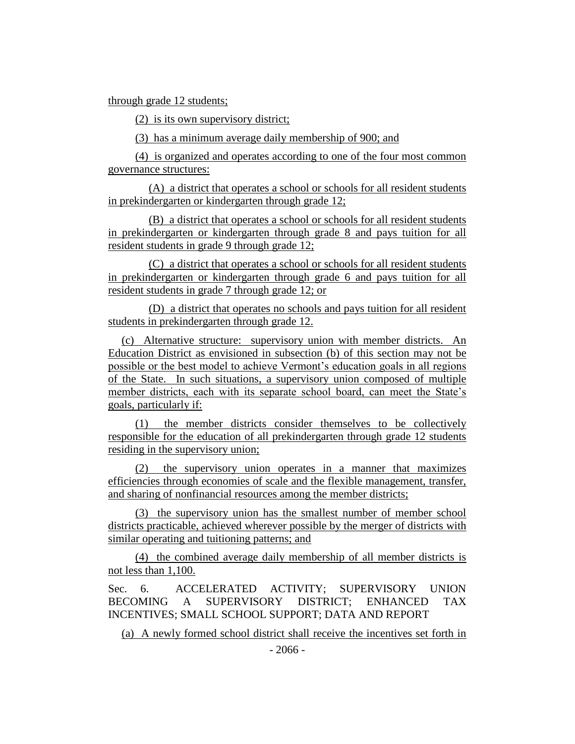through grade 12 students;

(2) is its own supervisory district;

(3) has a minimum average daily membership of 900; and

(4) is organized and operates according to one of the four most common governance structures:

(A) a district that operates a school or schools for all resident students in prekindergarten or kindergarten through grade 12;

(B) a district that operates a school or schools for all resident students in prekindergarten or kindergarten through grade 8 and pays tuition for all resident students in grade 9 through grade 12;

(C) a district that operates a school or schools for all resident students in prekindergarten or kindergarten through grade 6 and pays tuition for all resident students in grade 7 through grade 12; or

(D) a district that operates no schools and pays tuition for all resident students in prekindergarten through grade 12.

(c) Alternative structure: supervisory union with member districts. An Education District as envisioned in subsection (b) of this section may not be possible or the best model to achieve Vermont's education goals in all regions of the State. In such situations, a supervisory union composed of multiple member districts, each with its separate school board, can meet the State's goals, particularly if:

(1) the member districts consider themselves to be collectively responsible for the education of all prekindergarten through grade 12 students residing in the supervisory union;

(2) the supervisory union operates in a manner that maximizes efficiencies through economies of scale and the flexible management, transfer, and sharing of nonfinancial resources among the member districts;

(3) the supervisory union has the smallest number of member school districts practicable, achieved wherever possible by the merger of districts with similar operating and tuitioning patterns; and

(4) the combined average daily membership of all member districts is not less than 1,100.

Sec. 6. ACCELERATED ACTIVITY; SUPERVISORY UNION BECOMING A SUPERVISORY DISTRICT; ENHANCED TAX INCENTIVES; SMALL SCHOOL SUPPORT; DATA AND REPORT

(a) A newly formed school district shall receive the incentives set forth in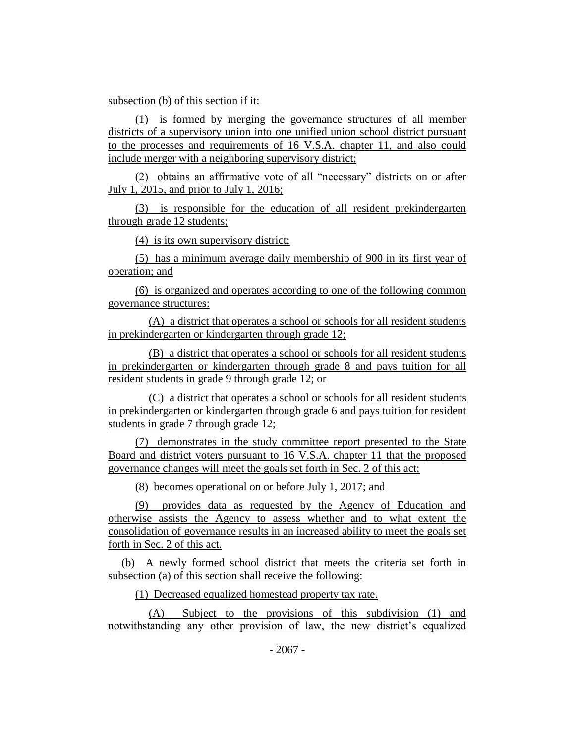# subsection (b) of this section if it:

(1) is formed by merging the governance structures of all member districts of a supervisory union into one unified union school district pursuant to the processes and requirements of 16 V.S.A. chapter 11, and also could include merger with a neighboring supervisory district;

(2) obtains an affirmative vote of all "necessary" districts on or after July 1, 2015, and prior to July 1, 2016;

(3) is responsible for the education of all resident prekindergarten through grade 12 students;

(4) is its own supervisory district;

(5) has a minimum average daily membership of 900 in its first year of operation; and

(6) is organized and operates according to one of the following common governance structures:

(A) a district that operates a school or schools for all resident students in prekindergarten or kindergarten through grade 12;

(B) a district that operates a school or schools for all resident students in prekindergarten or kindergarten through grade 8 and pays tuition for all resident students in grade 9 through grade 12; or

(C) a district that operates a school or schools for all resident students in prekindergarten or kindergarten through grade 6 and pays tuition for resident students in grade 7 through grade 12;

(7) demonstrates in the study committee report presented to the State Board and district voters pursuant to 16 V.S.A. chapter 11 that the proposed governance changes will meet the goals set forth in Sec. 2 of this act;

(8) becomes operational on or before July 1, 2017; and

(9) provides data as requested by the Agency of Education and otherwise assists the Agency to assess whether and to what extent the consolidation of governance results in an increased ability to meet the goals set forth in Sec. 2 of this act.

(b) A newly formed school district that meets the criteria set forth in subsection (a) of this section shall receive the following:

(1) Decreased equalized homestead property tax rate.

(A) Subject to the provisions of this subdivision (1) and notwithstanding any other provision of law, the new district's equalized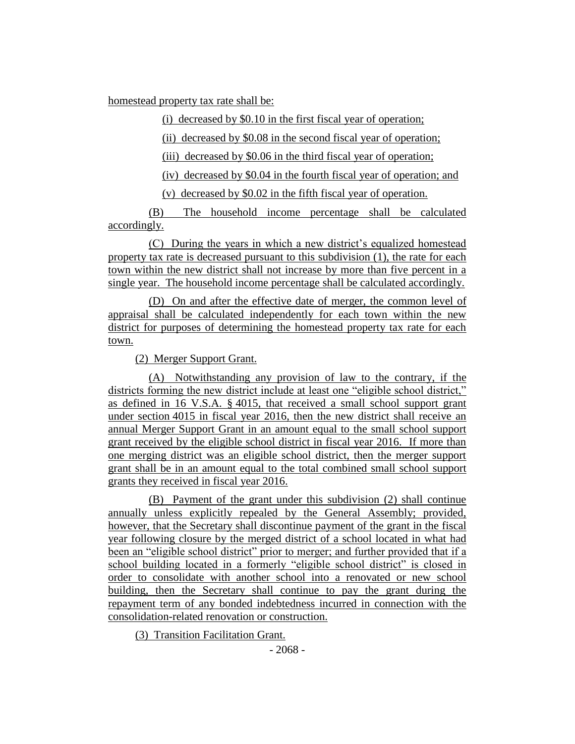homestead property tax rate shall be:

(i) decreased by \$0.10 in the first fiscal year of operation;

(ii) decreased by \$0.08 in the second fiscal year of operation;

(iii) decreased by \$0.06 in the third fiscal year of operation;

(iv) decreased by \$0.04 in the fourth fiscal year of operation; and

(v) decreased by \$0.02 in the fifth fiscal year of operation.

(B) The household income percentage shall be calculated accordingly.

(C) During the years in which a new district's equalized homestead property tax rate is decreased pursuant to this subdivision (1), the rate for each town within the new district shall not increase by more than five percent in a single year. The household income percentage shall be calculated accordingly.

(D) On and after the effective date of merger, the common level of appraisal shall be calculated independently for each town within the new district for purposes of determining the homestead property tax rate for each town.

(2) Merger Support Grant.

(A) Notwithstanding any provision of law to the contrary, if the districts forming the new district include at least one "eligible school district," as defined in 16 V.S.A. § 4015, that received a small school support grant under section 4015 in fiscal year 2016, then the new district shall receive an annual Merger Support Grant in an amount equal to the small school support grant received by the eligible school district in fiscal year 2016. If more than one merging district was an eligible school district, then the merger support grant shall be in an amount equal to the total combined small school support grants they received in fiscal year 2016.

(B) Payment of the grant under this subdivision (2) shall continue annually unless explicitly repealed by the General Assembly; provided, however, that the Secretary shall discontinue payment of the grant in the fiscal year following closure by the merged district of a school located in what had been an "eligible school district" prior to merger; and further provided that if a school building located in a formerly "eligible school district" is closed in order to consolidate with another school into a renovated or new school building, then the Secretary shall continue to pay the grant during the repayment term of any bonded indebtedness incurred in connection with the consolidation-related renovation or construction.

(3) Transition Facilitation Grant.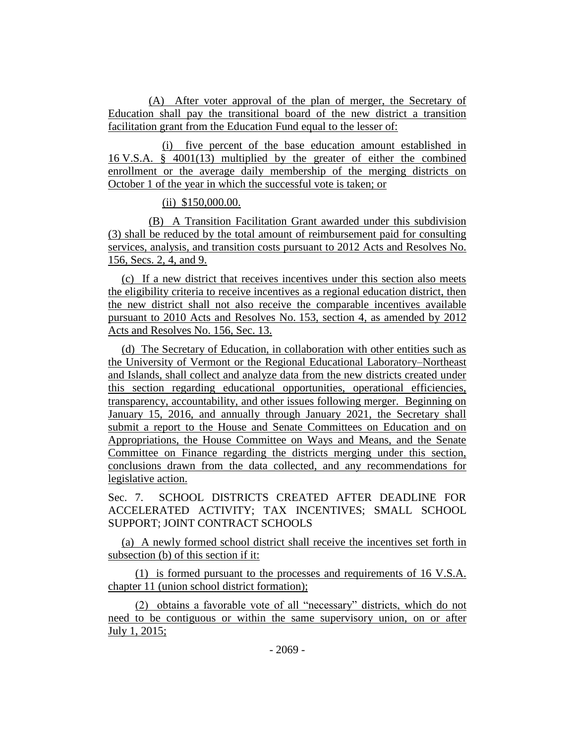(A) After voter approval of the plan of merger, the Secretary of Education shall pay the transitional board of the new district a transition facilitation grant from the Education Fund equal to the lesser of:

(i) five percent of the base education amount established in 16 V.S.A. § 4001(13) multiplied by the greater of either the combined enrollment or the average daily membership of the merging districts on October 1 of the year in which the successful vote is taken; or

# (ii) \$150,000.00.

(B) A Transition Facilitation Grant awarded under this subdivision (3) shall be reduced by the total amount of reimbursement paid for consulting services, analysis, and transition costs pursuant to 2012 Acts and Resolves No. 156, Secs. 2, 4, and 9.

(c) If a new district that receives incentives under this section also meets the eligibility criteria to receive incentives as a regional education district, then the new district shall not also receive the comparable incentives available pursuant to 2010 Acts and Resolves No. 153, section 4, as amended by 2012 Acts and Resolves No. 156, Sec. 13.

(d) The Secretary of Education, in collaboration with other entities such as the University of Vermont or the Regional Educational Laboratory–Northeast and Islands, shall collect and analyze data from the new districts created under this section regarding educational opportunities, operational efficiencies, transparency, accountability, and other issues following merger. Beginning on January 15, 2016, and annually through January 2021, the Secretary shall submit a report to the House and Senate Committees on Education and on Appropriations, the House Committee on Ways and Means, and the Senate Committee on Finance regarding the districts merging under this section, conclusions drawn from the data collected, and any recommendations for legislative action.

Sec. 7. SCHOOL DISTRICTS CREATED AFTER DEADLINE FOR ACCELERATED ACTIVITY; TAX INCENTIVES; SMALL SCHOOL SUPPORT; JOINT CONTRACT SCHOOLS

(a) A newly formed school district shall receive the incentives set forth in subsection (b) of this section if it:

(1) is formed pursuant to the processes and requirements of 16 V.S.A. chapter 11 (union school district formation);

(2) obtains a favorable vote of all "necessary" districts, which do not need to be contiguous or within the same supervisory union, on or after July 1, 2015;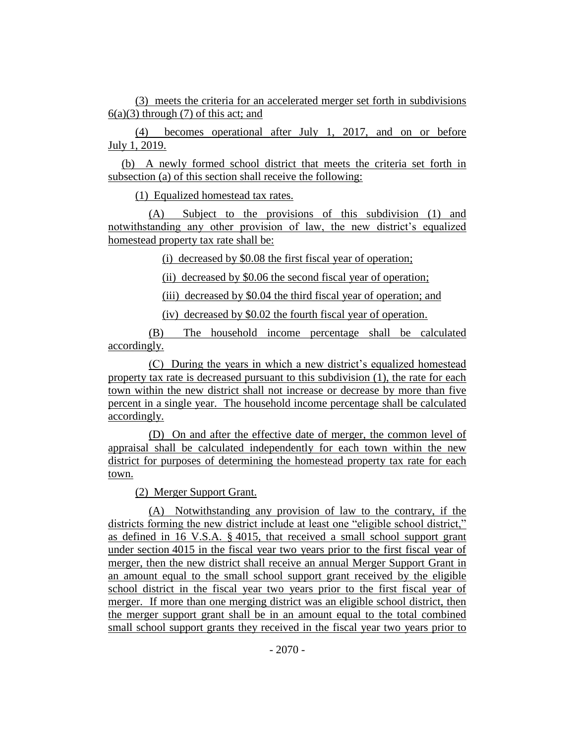(3) meets the criteria for an accelerated merger set forth in subdivisions  $6(a)(3)$  through (7) of this act; and

(4) becomes operational after July 1, 2017, and on or before July 1, 2019.

(b) A newly formed school district that meets the criteria set forth in subsection (a) of this section shall receive the following:

(1) Equalized homestead tax rates.

(A) Subject to the provisions of this subdivision (1) and notwithstanding any other provision of law, the new district's equalized homestead property tax rate shall be:

(i) decreased by \$0.08 the first fiscal year of operation;

(ii) decreased by \$0.06 the second fiscal year of operation;

(iii) decreased by \$0.04 the third fiscal year of operation; and

(iv) decreased by \$0.02 the fourth fiscal year of operation.

(B) The household income percentage shall be calculated accordingly.

(C) During the years in which a new district's equalized homestead property tax rate is decreased pursuant to this subdivision (1), the rate for each town within the new district shall not increase or decrease by more than five percent in a single year. The household income percentage shall be calculated accordingly.

(D) On and after the effective date of merger, the common level of appraisal shall be calculated independently for each town within the new district for purposes of determining the homestead property tax rate for each town.

(2) Merger Support Grant.

(A) Notwithstanding any provision of law to the contrary, if the districts forming the new district include at least one "eligible school district," as defined in 16 V.S.A. § 4015, that received a small school support grant under section 4015 in the fiscal year two years prior to the first fiscal year of merger, then the new district shall receive an annual Merger Support Grant in an amount equal to the small school support grant received by the eligible school district in the fiscal year two years prior to the first fiscal year of merger. If more than one merging district was an eligible school district, then the merger support grant shall be in an amount equal to the total combined small school support grants they received in the fiscal year two years prior to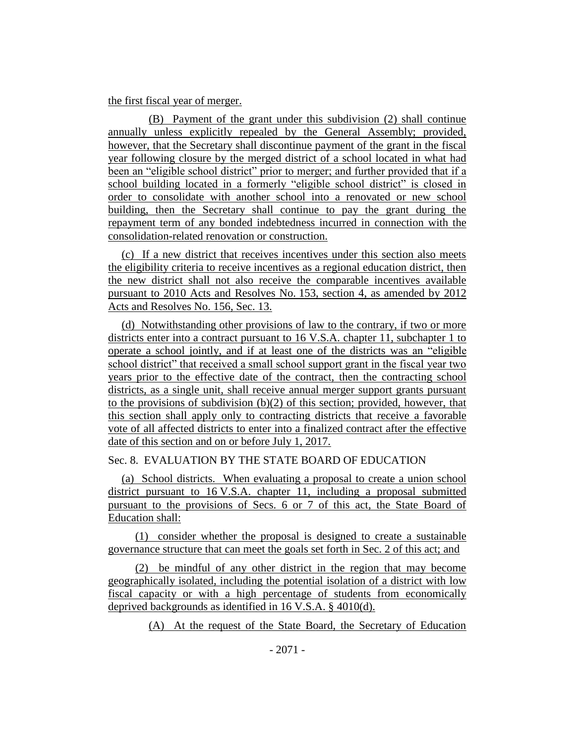#### the first fiscal year of merger.

(B) Payment of the grant under this subdivision (2) shall continue annually unless explicitly repealed by the General Assembly; provided, however, that the Secretary shall discontinue payment of the grant in the fiscal year following closure by the merged district of a school located in what had been an "eligible school district" prior to merger; and further provided that if a school building located in a formerly "eligible school district" is closed in order to consolidate with another school into a renovated or new school building, then the Secretary shall continue to pay the grant during the repayment term of any bonded indebtedness incurred in connection with the consolidation-related renovation or construction.

(c) If a new district that receives incentives under this section also meets the eligibility criteria to receive incentives as a regional education district, then the new district shall not also receive the comparable incentives available pursuant to 2010 Acts and Resolves No. 153, section 4, as amended by 2012 Acts and Resolves No. 156, Sec. 13.

(d) Notwithstanding other provisions of law to the contrary, if two or more districts enter into a contract pursuant to 16 V.S.A. chapter 11, subchapter 1 to operate a school jointly, and if at least one of the districts was an "eligible school district" that received a small school support grant in the fiscal year two years prior to the effective date of the contract, then the contracting school districts, as a single unit, shall receive annual merger support grants pursuant to the provisions of subdivision  $(b)(2)$  of this section; provided, however, that this section shall apply only to contracting districts that receive a favorable vote of all affected districts to enter into a finalized contract after the effective date of this section and on or before July 1, 2017.

# Sec. 8. EVALUATION BY THE STATE BOARD OF EDUCATION

(a) School districts. When evaluating a proposal to create a union school district pursuant to 16 V.S.A. chapter 11, including a proposal submitted pursuant to the provisions of Secs. 6 or 7 of this act, the State Board of Education shall:

(1) consider whether the proposal is designed to create a sustainable governance structure that can meet the goals set forth in Sec. 2 of this act; and

(2) be mindful of any other district in the region that may become geographically isolated, including the potential isolation of a district with low fiscal capacity or with a high percentage of students from economically deprived backgrounds as identified in 16 V.S.A. § 4010(d).

(A) At the request of the State Board, the Secretary of Education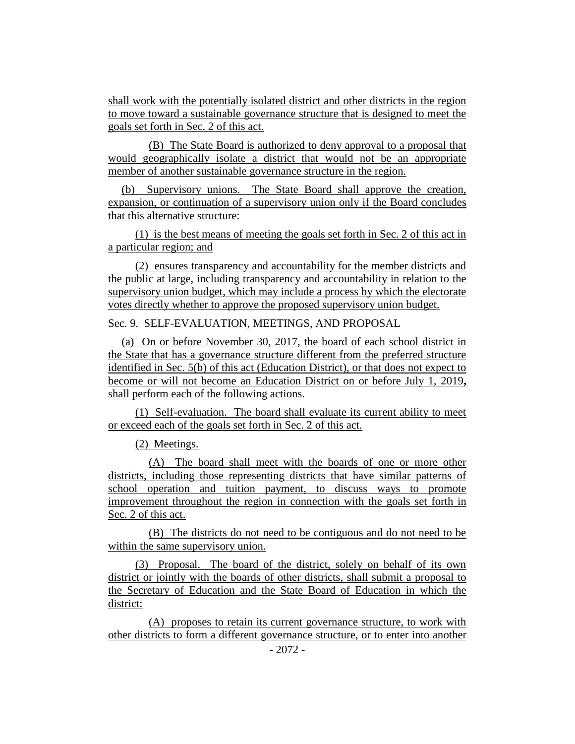shall work with the potentially isolated district and other districts in the region to move toward a sustainable governance structure that is designed to meet the goals set forth in Sec. 2 of this act.

(B) The State Board is authorized to deny approval to a proposal that would geographically isolate a district that would not be an appropriate member of another sustainable governance structure in the region.

(b) Supervisory unions. The State Board shall approve the creation, expansion, or continuation of a supervisory union only if the Board concludes that this alternative structure:

(1) is the best means of meeting the goals set forth in Sec. 2 of this act in a particular region; and

(2) ensures transparency and accountability for the member districts and the public at large, including transparency and accountability in relation to the supervisory union budget, which may include a process by which the electorate votes directly whether to approve the proposed supervisory union budget.

# Sec. 9. SELF-EVALUATION, MEETINGS, AND PROPOSAL

(a) On or before November 30, 2017, the board of each school district in the State that has a governance structure different from the preferred structure identified in Sec. 5(b) of this act (Education District), or that does not expect to become or will not become an Education District on or before July 1, 2019**,**  shall perform each of the following actions.

(1) Self-evaluation. The board shall evaluate its current ability to meet or exceed each of the goals set forth in Sec. 2 of this act.

(2) Meetings.

(A) The board shall meet with the boards of one or more other districts, including those representing districts that have similar patterns of school operation and tuition payment, to discuss ways to promote improvement throughout the region in connection with the goals set forth in Sec. 2 of this act.

(B) The districts do not need to be contiguous and do not need to be within the same supervisory union.

(3) Proposal. The board of the district, solely on behalf of its own district or jointly with the boards of other districts, shall submit a proposal to the Secretary of Education and the State Board of Education in which the district:

(A) proposes to retain its current governance structure, to work with other districts to form a different governance structure, or to enter into another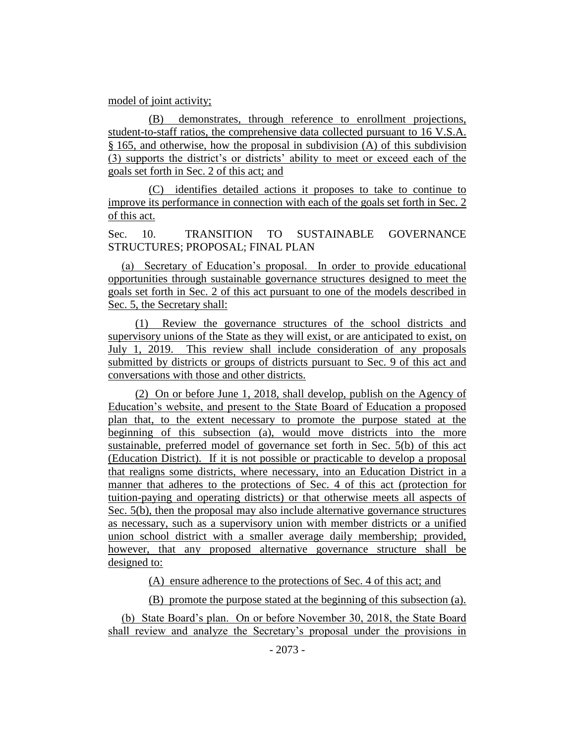#### model of joint activity;

(B) demonstrates, through reference to enrollment projections, student-to-staff ratios, the comprehensive data collected pursuant to 16 V.S.A. § 165, and otherwise, how the proposal in subdivision (A) of this subdivision (3) supports the district's or districts' ability to meet or exceed each of the goals set forth in Sec. 2 of this act; and

(C) identifies detailed actions it proposes to take to continue to improve its performance in connection with each of the goals set forth in Sec. 2 of this act.

Sec. 10. TRANSITION TO SUSTAINABLE GOVERNANCE STRUCTURES; PROPOSAL; FINAL PLAN

(a) Secretary of Education's proposal. In order to provide educational opportunities through sustainable governance structures designed to meet the goals set forth in Sec. 2 of this act pursuant to one of the models described in Sec. 5, the Secretary shall:

(1) Review the governance structures of the school districts and supervisory unions of the State as they will exist, or are anticipated to exist, on July 1, 2019. This review shall include consideration of any proposals submitted by districts or groups of districts pursuant to Sec. 9 of this act and conversations with those and other districts.

(2) On or before June 1, 2018, shall develop, publish on the Agency of Education's website, and present to the State Board of Education a proposed plan that, to the extent necessary to promote the purpose stated at the beginning of this subsection (a), would move districts into the more sustainable, preferred model of governance set forth in Sec. 5(b) of this act (Education District). If it is not possible or practicable to develop a proposal that realigns some districts, where necessary, into an Education District in a manner that adheres to the protections of Sec. 4 of this act (protection for tuition-paying and operating districts) or that otherwise meets all aspects of Sec. 5(b), then the proposal may also include alternative governance structures as necessary, such as a supervisory union with member districts or a unified union school district with a smaller average daily membership; provided, however, that any proposed alternative governance structure shall be designed to:

(A) ensure adherence to the protections of Sec. 4 of this act; and

(B) promote the purpose stated at the beginning of this subsection (a).

(b) State Board's plan. On or before November 30, 2018, the State Board shall review and analyze the Secretary's proposal under the provisions in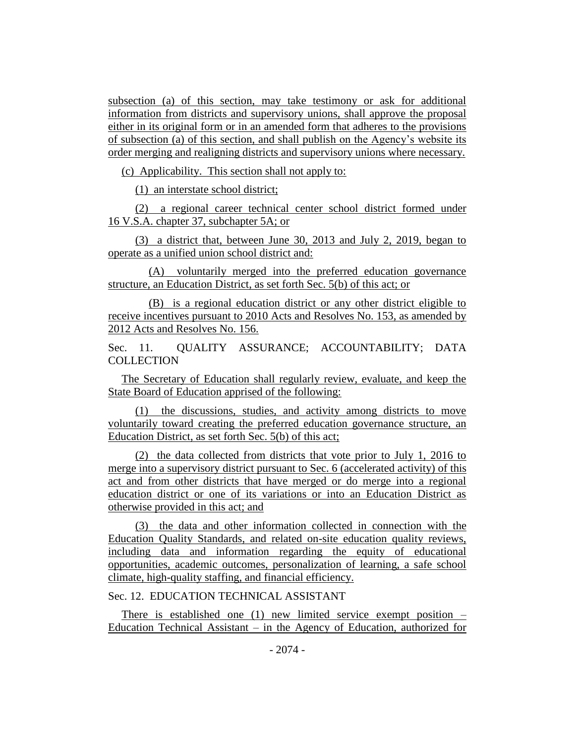subsection (a) of this section, may take testimony or ask for additional information from districts and supervisory unions, shall approve the proposal either in its original form or in an amended form that adheres to the provisions of subsection (a) of this section, and shall publish on the Agency's website its order merging and realigning districts and supervisory unions where necessary.

(c) Applicability. This section shall not apply to:

(1) an interstate school district;

(2) a regional career technical center school district formed under 16 V.S.A. chapter 37, subchapter 5A; or

(3) a district that, between June 30, 2013 and July 2, 2019, began to operate as a unified union school district and:

(A) voluntarily merged into the preferred education governance structure, an Education District, as set forth Sec. 5(b) of this act; or

(B) is a regional education district or any other district eligible to receive incentives pursuant to 2010 Acts and Resolves No. 153, as amended by 2012 Acts and Resolves No. 156.

Sec. 11. OUALITY ASSURANCE; ACCOUNTABILITY; DATA **COLLECTION** 

The Secretary of Education shall regularly review, evaluate, and keep the State Board of Education apprised of the following:

(1) the discussions, studies, and activity among districts to move voluntarily toward creating the preferred education governance structure, an Education District, as set forth Sec. 5(b) of this act;

(2) the data collected from districts that vote prior to July 1, 2016 to merge into a supervisory district pursuant to Sec. 6 (accelerated activity) of this act and from other districts that have merged or do merge into a regional education district or one of its variations or into an Education District as otherwise provided in this act; and

(3) the data and other information collected in connection with the Education Quality Standards, and related on-site education quality reviews, including data and information regarding the equity of educational opportunities, academic outcomes, personalization of learning, a safe school climate, high-quality staffing, and financial efficiency.

Sec. 12. EDUCATION TECHNICAL ASSISTANT

There is established one (1) new limited service exempt position  $-$ Education Technical Assistant – in the Agency of Education, authorized for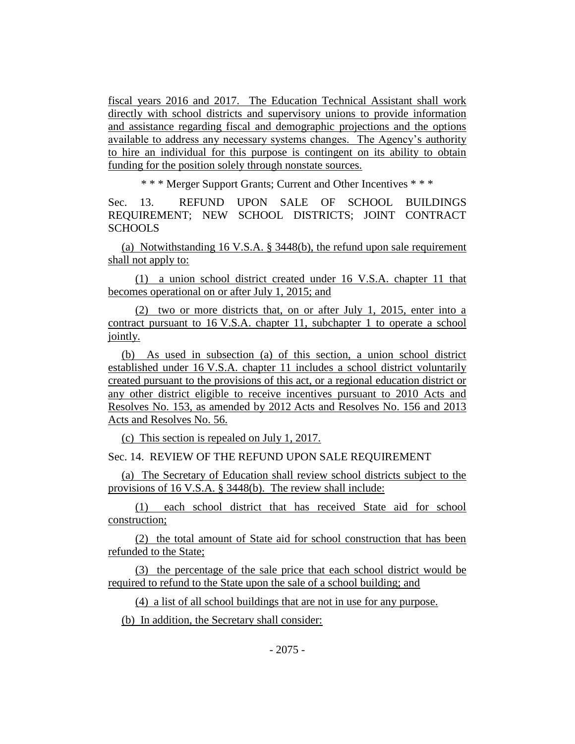fiscal years 2016 and 2017. The Education Technical Assistant shall work directly with school districts and supervisory unions to provide information and assistance regarding fiscal and demographic projections and the options available to address any necessary systems changes. The Agency's authority to hire an individual for this purpose is contingent on its ability to obtain funding for the position solely through nonstate sources.

\* \* \* Merger Support Grants; Current and Other Incentives \* \* \*

Sec. 13. REFUND UPON SALE OF SCHOOL BUILDINGS REQUIREMENT; NEW SCHOOL DISTRICTS; JOINT CONTRACT **SCHOOLS** 

(a) Notwithstanding 16 V.S.A. § 3448(b), the refund upon sale requirement shall not apply to:

(1) a union school district created under 16 V.S.A. chapter 11 that becomes operational on or after July 1, 2015; and

(2) two or more districts that, on or after July 1, 2015, enter into a contract pursuant to 16 V.S.A. chapter 11, subchapter 1 to operate a school jointly.

(b) As used in subsection (a) of this section, a union school district established under 16 V.S.A. chapter 11 includes a school district voluntarily created pursuant to the provisions of this act, or a regional education district or any other district eligible to receive incentives pursuant to 2010 Acts and Resolves No. 153, as amended by 2012 Acts and Resolves No. 156 and 2013 Acts and Resolves No. 56.

(c) This section is repealed on July 1, 2017.

Sec. 14. REVIEW OF THE REFUND UPON SALE REQUIREMENT

(a) The Secretary of Education shall review school districts subject to the provisions of 16 V.S.A. § 3448(b). The review shall include:

(1) each school district that has received State aid for school construction;

(2) the total amount of State aid for school construction that has been refunded to the State;

(3) the percentage of the sale price that each school district would be required to refund to the State upon the sale of a school building; and

(4) a list of all school buildings that are not in use for any purpose.

(b) In addition, the Secretary shall consider: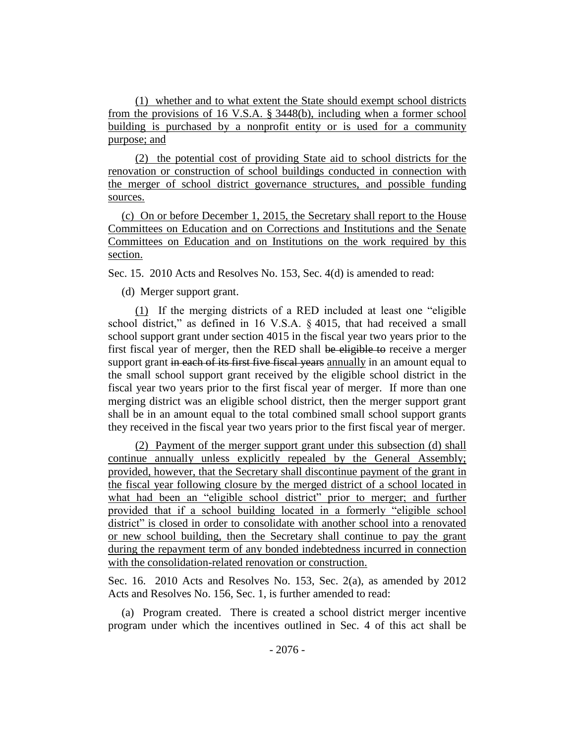(1) whether and to what extent the State should exempt school districts from the provisions of 16 V.S.A. § 3448(b), including when a former school building is purchased by a nonprofit entity or is used for a community purpose; and

(2) the potential cost of providing State aid to school districts for the renovation or construction of school buildings conducted in connection with the merger of school district governance structures, and possible funding sources.

(c) On or before December 1, 2015, the Secretary shall report to the House Committees on Education and on Corrections and Institutions and the Senate Committees on Education and on Institutions on the work required by this section.

Sec. 15. 2010 Acts and Resolves No. 153, Sec. 4(d) is amended to read:

(d) Merger support grant.

(1) If the merging districts of a RED included at least one "eligible school district," as defined in 16 V.S.A. § 4015, that had received a small school support grant under section 4015 in the fiscal year two years prior to the first fiscal year of merger, then the RED shall be eligible to receive a merger support grant in each of its first five fiscal years annually in an amount equal to the small school support grant received by the eligible school district in the fiscal year two years prior to the first fiscal year of merger. If more than one merging district was an eligible school district, then the merger support grant shall be in an amount equal to the total combined small school support grants they received in the fiscal year two years prior to the first fiscal year of merger.

(2) Payment of the merger support grant under this subsection (d) shall continue annually unless explicitly repealed by the General Assembly; provided, however, that the Secretary shall discontinue payment of the grant in the fiscal year following closure by the merged district of a school located in what had been an "eligible school district" prior to merger; and further provided that if a school building located in a formerly "eligible school district" is closed in order to consolidate with another school into a renovated or new school building, then the Secretary shall continue to pay the grant during the repayment term of any bonded indebtedness incurred in connection with the consolidation-related renovation or construction.

Sec. 16. 2010 Acts and Resolves No. 153, Sec. 2(a), as amended by 2012 Acts and Resolves No. 156, Sec. 1, is further amended to read:

(a) Program created. There is created a school district merger incentive program under which the incentives outlined in Sec. 4 of this act shall be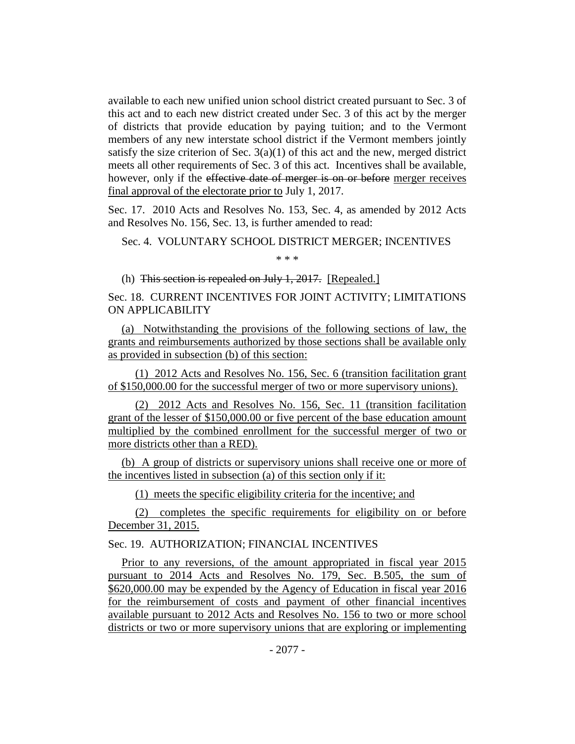available to each new unified union school district created pursuant to Sec. 3 of this act and to each new district created under Sec. 3 of this act by the merger of districts that provide education by paying tuition; and to the Vermont members of any new interstate school district if the Vermont members jointly satisfy the size criterion of Sec.  $3(a)(1)$  of this act and the new, merged district meets all other requirements of Sec. 3 of this act. Incentives shall be available, however, only if the effective date of merger is on or before merger receives final approval of the electorate prior to July 1, 2017.

Sec. 17. 2010 Acts and Resolves No. 153, Sec. 4, as amended by 2012 Acts and Resolves No. 156, Sec. 13, is further amended to read:

Sec. 4. VOLUNTARY SCHOOL DISTRICT MERGER; INCENTIVES

\* \* \*

(h) This section is repealed on July 1, 2017. [Repealed.]

Sec. 18. CURRENT INCENTIVES FOR JOINT ACTIVITY; LIMITATIONS ON APPLICABILITY

(a) Notwithstanding the provisions of the following sections of law, the grants and reimbursements authorized by those sections shall be available only as provided in subsection (b) of this section:

(1) 2012 Acts and Resolves No. 156, Sec. 6 (transition facilitation grant of \$150,000.00 for the successful merger of two or more supervisory unions).

(2) 2012 Acts and Resolves No. 156, Sec. 11 (transition facilitation grant of the lesser of \$150,000.00 or five percent of the base education amount multiplied by the combined enrollment for the successful merger of two or more districts other than a RED).

(b) A group of districts or supervisory unions shall receive one or more of the incentives listed in subsection (a) of this section only if it:

(1) meets the specific eligibility criteria for the incentive; and

(2) completes the specific requirements for eligibility on or before December 31, 2015.

# Sec. 19. AUTHORIZATION; FINANCIAL INCENTIVES

Prior to any reversions, of the amount appropriated in fiscal year 2015 pursuant to 2014 Acts and Resolves No. 179, Sec. B.505, the sum of \$620,000.00 may be expended by the Agency of Education in fiscal year 2016 for the reimbursement of costs and payment of other financial incentives available pursuant to 2012 Acts and Resolves No. 156 to two or more school districts or two or more supervisory unions that are exploring or implementing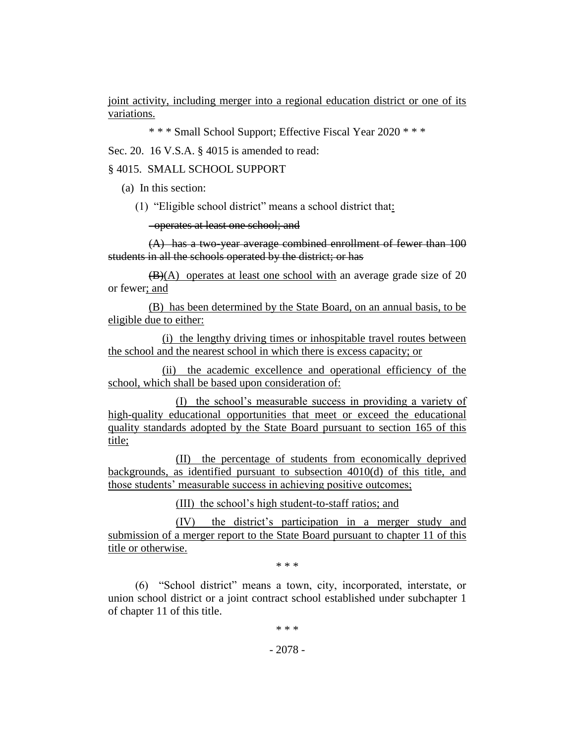joint activity, including merger into a regional education district or one of its variations.

\* \* \* Small School Support; Effective Fiscal Year 2020 \* \* \*

Sec. 20. 16 V.S.A. § 4015 is amended to read:

# § 4015. SMALL SCHOOL SUPPORT

(a) In this section:

(1) "Eligible school district" means a school district that:

operates at least one school; and

(A) has a two-year average combined enrollment of fewer than 100 students in all the schools operated by the district; or has

 $(B)(A)$  operates at least one school with an average grade size of 20 or fewer; and

(B) has been determined by the State Board, on an annual basis, to be eligible due to either:

(i) the lengthy driving times or inhospitable travel routes between the school and the nearest school in which there is excess capacity; or

(ii) the academic excellence and operational efficiency of the school, which shall be based upon consideration of:

(I) the school's measurable success in providing a variety of high-quality educational opportunities that meet or exceed the educational quality standards adopted by the State Board pursuant to section 165 of this title;

(II) the percentage of students from economically deprived backgrounds, as identified pursuant to subsection 4010(d) of this title, and those students' measurable success in achieving positive outcomes;

(III) the school's high student-to-staff ratios; and

(IV) the district's participation in a merger study and submission of a merger report to the State Board pursuant to chapter 11 of this title or otherwise.

\* \* \*

(6) "School district" means a town, city, incorporated, interstate, or union school district or a joint contract school established under subchapter 1 of chapter 11 of this title.

\* \* \*

# - 2078 -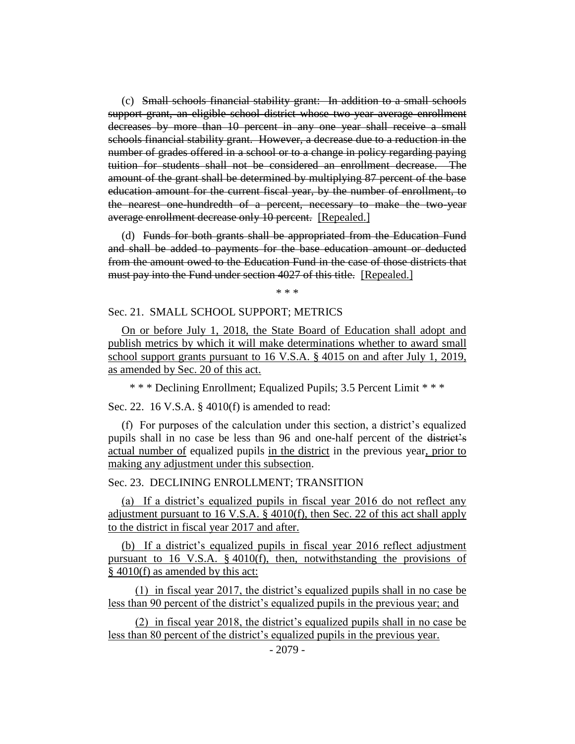(c) Small schools financial stability grant: In addition to a small schools support grant, an eligible school district whose two-year average enrollment decreases by more than 10 percent in any one year shall receive a small schools financial stability grant. However, a decrease due to a reduction in the number of grades offered in a school or to a change in policy regarding paying tuition for students shall not be considered an enrollment decrease. The amount of the grant shall be determined by multiplying 87 percent of the base education amount for the current fiscal year, by the number of enrollment, to the nearest one-hundredth of a percent, necessary to make the two-year average enrollment decrease only 10 percent. [Repealed.]

(d) Funds for both grants shall be appropriated from the Education Fund and shall be added to payments for the base education amount or deducted from the amount owed to the Education Fund in the case of those districts that must pay into the Fund under section 4027 of this title. [Repealed.]

\* \* \*

## Sec. 21. SMALL SCHOOL SUPPORT; METRICS

On or before July 1, 2018, the State Board of Education shall adopt and publish metrics by which it will make determinations whether to award small school support grants pursuant to 16 V.S.A. § 4015 on and after July 1, 2019, as amended by Sec. 20 of this act.

\* \* \* Declining Enrollment; Equalized Pupils; 3.5 Percent Limit \* \* \*

Sec. 22. 16 V.S.A. § 4010(f) is amended to read:

(f) For purposes of the calculation under this section, a district's equalized pupils shall in no case be less than 96 and one-half percent of the district's actual number of equalized pupils in the district in the previous year, prior to making any adjustment under this subsection.

#### Sec. 23. DECLINING ENROLLMENT; TRANSITION

(a) If a district's equalized pupils in fiscal year 2016 do not reflect any adjustment pursuant to 16 V.S.A. § 4010(f), then Sec. 22 of this act shall apply to the district in fiscal year 2017 and after.

(b) If a district's equalized pupils in fiscal year 2016 reflect adjustment pursuant to 16 V.S.A. § 4010(f), then, notwithstanding the provisions of § 4010(f) as amended by this act:

(1) in fiscal year 2017, the district's equalized pupils shall in no case be less than 90 percent of the district's equalized pupils in the previous year; and

(2) in fiscal year 2018, the district's equalized pupils shall in no case be less than 80 percent of the district's equalized pupils in the previous year.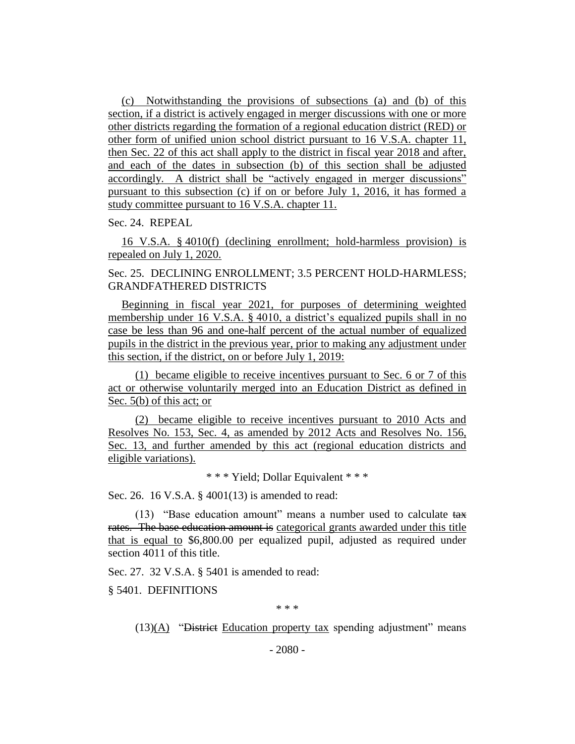(c) Notwithstanding the provisions of subsections (a) and (b) of this section, if a district is actively engaged in merger discussions with one or more other districts regarding the formation of a regional education district (RED) or other form of unified union school district pursuant to 16 V.S.A. chapter 11, then Sec. 22 of this act shall apply to the district in fiscal year 2018 and after, and each of the dates in subsection (b) of this section shall be adjusted accordingly. A district shall be "actively engaged in merger discussions" pursuant to this subsection (c) if on or before July 1, 2016, it has formed a study committee pursuant to 16 V.S.A. chapter 11.

Sec. 24. REPEAL

16 V.S.A. § 4010(f) (declining enrollment; hold-harmless provision) is repealed on July 1, 2020.

Sec. 25. DECLINING ENROLLMENT; 3.5 PERCENT HOLD-HARMLESS; GRANDFATHERED DISTRICTS

Beginning in fiscal year 2021, for purposes of determining weighted membership under 16 V.S.A. § 4010, a district's equalized pupils shall in no case be less than 96 and one-half percent of the actual number of equalized pupils in the district in the previous year, prior to making any adjustment under this section, if the district, on or before July 1, 2019:

(1) became eligible to receive incentives pursuant to Sec. 6 or 7 of this act or otherwise voluntarily merged into an Education District as defined in Sec. 5(b) of this act; or

(2) became eligible to receive incentives pursuant to 2010 Acts and Resolves No. 153, Sec. 4, as amended by 2012 Acts and Resolves No. 156, Sec. 13, and further amended by this act (regional education districts and eligible variations).

\* \* \* Yield; Dollar Equivalent \* \* \*

Sec. 26. 16 V.S.A. § 4001(13) is amended to read:

(13) "Base education amount" means a number used to calculate tax rates. The base education amount is categorical grants awarded under this title that is equal to \$6,800.00 per equalized pupil, adjusted as required under section 4011 of this title.

Sec. 27. 32 V.S.A. § 5401 is amended to read:

§ 5401. DEFINITIONS

\* \* \*

 $(13)(A)$  "District Education property tax spending adjustment" means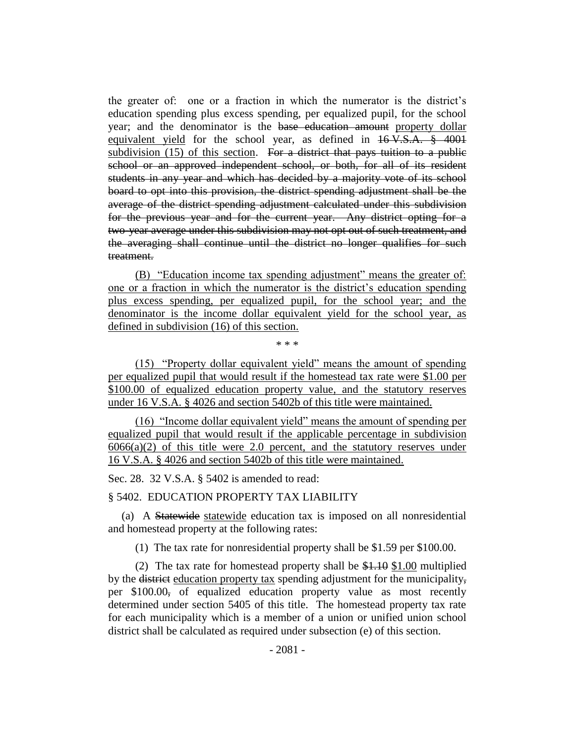the greater of: one or a fraction in which the numerator is the district's education spending plus excess spending, per equalized pupil, for the school year; and the denominator is the base education amount property dollar equivalent yield for the school year, as defined in  $16 \text{ V.S.A.}$  § 4001 subdivision  $(15)$  of this section. For a district that pays tuition to a public school or an approved independent school, or both, for all of its resident students in any year and which has decided by a majority vote of its school board to opt into this provision, the district spending adjustment shall be the average of the district spending adjustment calculated under this subdivision for the previous year and for the current year. Any district opting for a two-year average under this subdivision may not opt out of such treatment, and the averaging shall continue until the district no longer qualifies for such treatment.

(B) "Education income tax spending adjustment" means the greater of: one or a fraction in which the numerator is the district's education spending plus excess spending, per equalized pupil, for the school year; and the denominator is the income dollar equivalent yield for the school year, as defined in subdivision (16) of this section.

\* \* \*

(15) "Property dollar equivalent yield" means the amount of spending per equalized pupil that would result if the homestead tax rate were \$1.00 per \$100.00 of equalized education property value, and the statutory reserves under 16 V.S.A. § 4026 and section 5402b of this title were maintained.

(16) "Income dollar equivalent yield" means the amount of spending per equalized pupil that would result if the applicable percentage in subdivision  $6066(a)(2)$  of this title were 2.0 percent, and the statutory reserves under 16 V.S.A. § 4026 and section 5402b of this title were maintained.

Sec. 28. 32 V.S.A. § 5402 is amended to read:

### § 5402. EDUCATION PROPERTY TAX LIABILITY

(a) A Statewide statewide education tax is imposed on all nonresidential and homestead property at the following rates:

(1) The tax rate for nonresidential property shall be \$1.59 per \$100.00.

(2) The tax rate for homestead property shall be \$1.10 \$1.00 multiplied by the district education property tax spending adjustment for the municipality, per \$100.00, of equalized education property value as most recently determined under section 5405 of this title. The homestead property tax rate for each municipality which is a member of a union or unified union school district shall be calculated as required under subsection (e) of this section.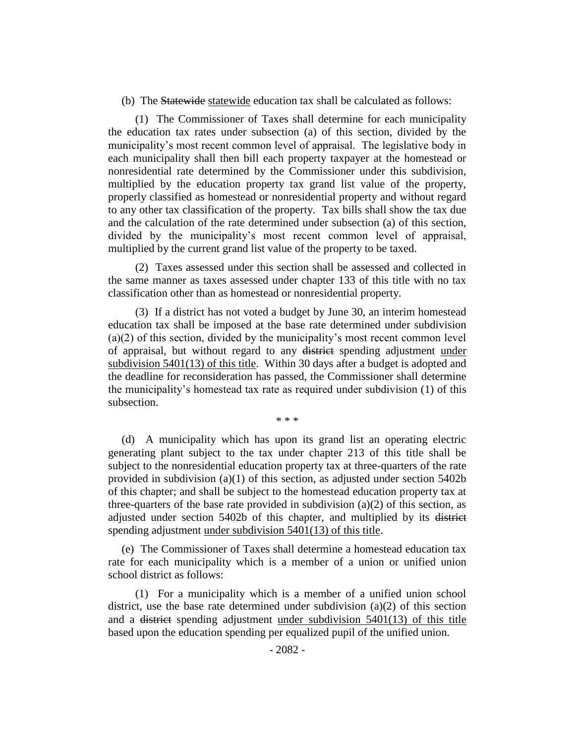(b) The Statewide statewide education tax shall be calculated as follows:

(1) The Commissioner of Taxes shall determine for each municipality the education tax rates under subsection (a) of this section, divided by the municipality's most recent common level of appraisal. The legislative body in each municipality shall then bill each property taxpayer at the homestead or nonresidential rate determined by the Commissioner under this subdivision, multiplied by the education property tax grand list value of the property, properly classified as homestead or nonresidential property and without regard to any other tax classification of the property. Tax bills shall show the tax due and the calculation of the rate determined under subsection (a) of this section, divided by the municipality's most recent common level of appraisal, multiplied by the current grand list value of the property to be taxed.

(2) Taxes assessed under this section shall be assessed and collected in the same manner as taxes assessed under chapter 133 of this title with no tax classification other than as homestead or nonresidential property.

(3) If a district has not voted a budget by June 30, an interim homestead education tax shall be imposed at the base rate determined under subdivision (a)(2) of this section, divided by the municipality's most recent common level of appraisal, but without regard to any district spending adjustment under subdivision 5401(13) of this title. Within 30 days after a budget is adopted and the deadline for reconsideration has passed, the Commissioner shall determine the municipality's homestead tax rate as required under subdivision (1) of this subsection.

\* \* \*

(d) A municipality which has upon its grand list an operating electric generating plant subject to the tax under chapter 213 of this title shall be subject to the nonresidential education property tax at three-quarters of the rate provided in subdivision (a)(1) of this section, as adjusted under section 5402b of this chapter; and shall be subject to the homestead education property tax at three-quarters of the base rate provided in subdivision  $(a)(2)$  of this section, as adjusted under section 5402b of this chapter, and multiplied by its district spending adjustment under subdivision 5401(13) of this title.

(e) The Commissioner of Taxes shall determine a homestead education tax rate for each municipality which is a member of a union or unified union school district as follows:

(1) For a municipality which is a member of a unified union school district, use the base rate determined under subdivision (a)(2) of this section and a district spending adjustment under subdivision 5401(13) of this title based upon the education spending per equalized pupil of the unified union.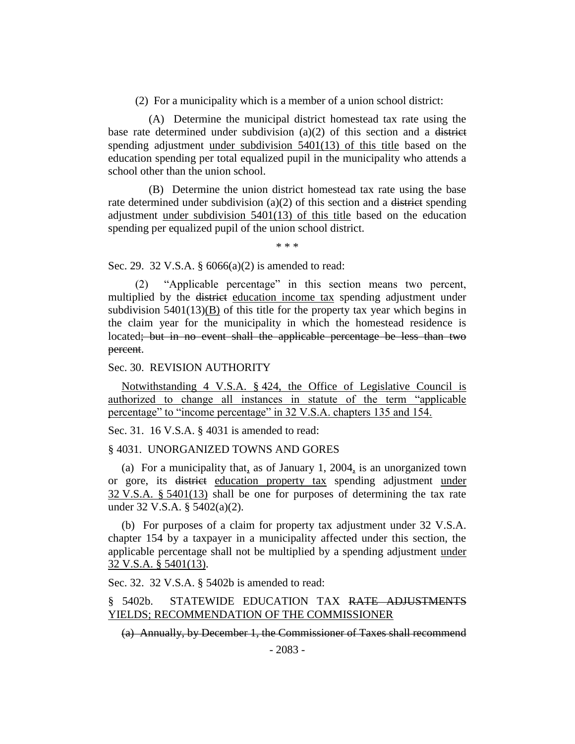(2) For a municipality which is a member of a union school district:

(A) Determine the municipal district homestead tax rate using the base rate determined under subdivision  $(a)(2)$  of this section and a district spending adjustment under subdivision 5401(13) of this title based on the education spending per total equalized pupil in the municipality who attends a school other than the union school.

(B) Determine the union district homestead tax rate using the base rate determined under subdivision (a)(2) of this section and a district spending adjustment under subdivision 5401(13) of this title based on the education spending per equalized pupil of the union school district.

\* \* \*

Sec. 29. 32 V.S.A. § 6066(a)(2) is amended to read:

(2) "Applicable percentage" in this section means two percent, multiplied by the district education income tax spending adjustment under subdivision 5401(13)(B) of this title for the property tax year which begins in the claim year for the municipality in which the homestead residence is located; but in no event shall the applicable percentage be less than two percent.

Sec. 30. REVISION AUTHORITY

Notwithstanding 4 V.S.A. § 424, the Office of Legislative Council is authorized to change all instances in statute of the term "applicable percentage" to "income percentage" in 32 V.S.A. chapters 135 and 154.

Sec. 31. 16 V.S.A. § 4031 is amended to read:

§ 4031. UNORGANIZED TOWNS AND GORES

(a) For a municipality that, as of January 1, 2004, is an unorganized town or gore, its district education property tax spending adjustment under 32 V.S.A. § 5401(13) shall be one for purposes of determining the tax rate under 32 V.S.A. § 5402(a)(2).

(b) For purposes of a claim for property tax adjustment under 32 V.S.A. chapter 154 by a taxpayer in a municipality affected under this section, the applicable percentage shall not be multiplied by a spending adjustment under 32 V.S.A. § 5401(13).

Sec. 32. 32 V.S.A. § 5402b is amended to read:

# § 5402b. STATEWIDE EDUCATION TAX RATE ADJUSTMENTS YIELDS; RECOMMENDATION OF THE COMMISSIONER

(a) Annually, by December 1, the Commissioner of Taxes shall recommend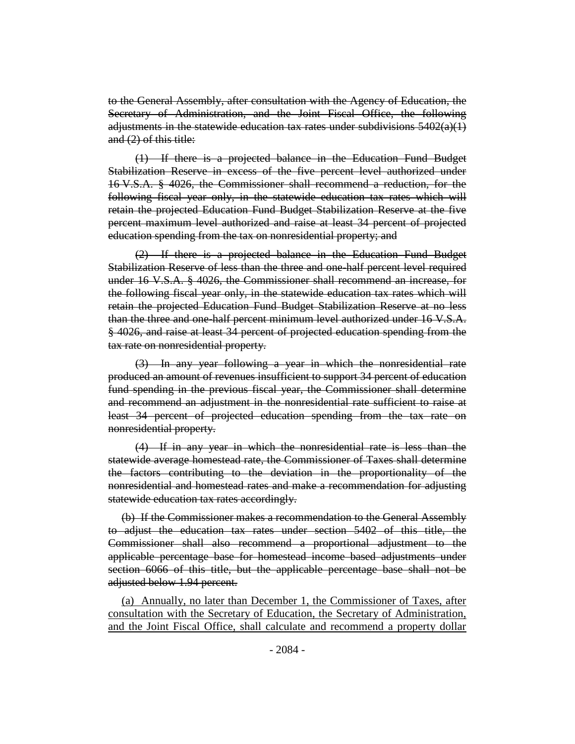to the General Assembly, after consultation with the Agency of Education, the Secretary of Administration, and the Joint Fiscal Office, the following adjustments in the statewide education tax rates under subdivisions  $5402(a)(1)$ and (2) of this title:

(1) If there is a projected balance in the Education Fund Budget Stabilization Reserve in excess of the five percent level authorized under 16 V.S.A. § 4026, the Commissioner shall recommend a reduction, for the following fiscal year only, in the statewide education tax rates which will retain the projected Education Fund Budget Stabilization Reserve at the five percent maximum level authorized and raise at least 34 percent of projected education spending from the tax on nonresidential property; and

(2) If there is a projected balance in the Education Fund Budget Stabilization Reserve of less than the three and one-half percent level required under 16 V.S.A. § 4026, the Commissioner shall recommend an increase, for the following fiscal year only, in the statewide education tax rates which will retain the projected Education Fund Budget Stabilization Reserve at no less than the three and one-half percent minimum level authorized under 16 V.S.A. § 4026, and raise at least 34 percent of projected education spending from the tax rate on nonresidential property.

(3) In any year following a year in which the nonresidential rate produced an amount of revenues insufficient to support 34 percent of education fund spending in the previous fiscal year, the Commissioner shall determine and recommend an adjustment in the nonresidential rate sufficient to raise at least 34 percent of projected education spending from the tax rate on nonresidential property.

(4) If in any year in which the nonresidential rate is less than the statewide average homestead rate, the Commissioner of Taxes shall determine the factors contributing to the deviation in the proportionality of the nonresidential and homestead rates and make a recommendation for adjusting statewide education tax rates accordingly.

(b) If the Commissioner makes a recommendation to the General Assembly to adjust the education tax rates under section 5402 of this title, the Commissioner shall also recommend a proportional adjustment to the applicable percentage base for homestead income based adjustments under section 6066 of this title, but the applicable percentage base shall not be adjusted below 1.94 percent.

(a) Annually, no later than December 1, the Commissioner of Taxes, after consultation with the Secretary of Education, the Secretary of Administration, and the Joint Fiscal Office, shall calculate and recommend a property dollar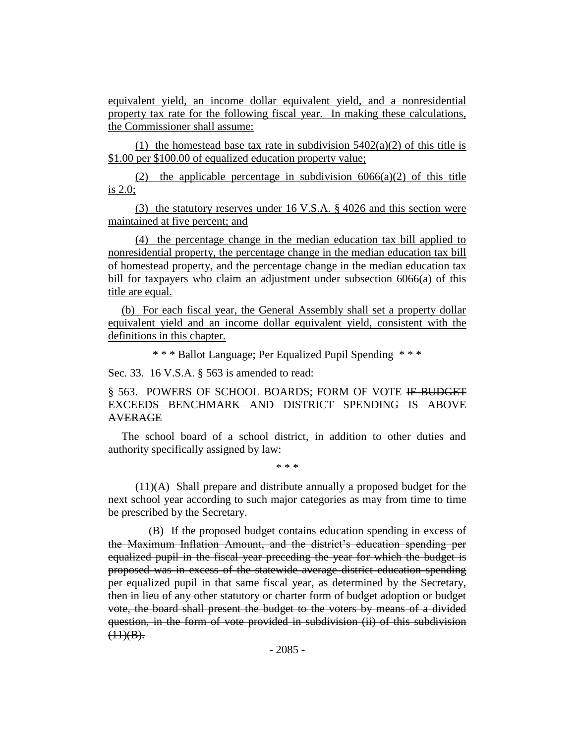equivalent yield, an income dollar equivalent yield, and a nonresidential property tax rate for the following fiscal year. In making these calculations, the Commissioner shall assume:

(1) the homestead base tax rate in subdivision  $5402(a)(2)$  of this title is \$1.00 per \$100.00 of equalized education property value;

(2) the applicable percentage in subdivision  $6066(a)(2)$  of this title is 2.0;

(3) the statutory reserves under 16 V.S.A. § 4026 and this section were maintained at five percent; and

(4) the percentage change in the median education tax bill applied to nonresidential property, the percentage change in the median education tax bill of homestead property, and the percentage change in the median education tax bill for taxpayers who claim an adjustment under subsection 6066(a) of this title are equal.

(b) For each fiscal year, the General Assembly shall set a property dollar equivalent yield and an income dollar equivalent yield, consistent with the definitions in this chapter.

\* \* \* Ballot Language; Per Equalized Pupil Spending \* \* \*

Sec. 33. 16 V.S.A. § 563 is amended to read:

# § 563. POWERS OF SCHOOL BOARDS; FORM OF VOTE IF BUDGET EXCEEDS BENCHMARK AND DISTRICT SPENDING IS ABOVE AVERAGE

The school board of a school district, in addition to other duties and authority specifically assigned by law:

\* \* \*

(11)(A) Shall prepare and distribute annually a proposed budget for the next school year according to such major categories as may from time to time be prescribed by the Secretary.

(B) If the proposed budget contains education spending in excess of the Maximum Inflation Amount, and the district's education spending per equalized pupil in the fiscal year preceding the year for which the budget is proposed was in excess of the statewide average district education spending per equalized pupil in that same fiscal year, as determined by the Secretary, then in lieu of any other statutory or charter form of budget adoption or budget vote, the board shall present the budget to the voters by means of a divided question, in the form of vote provided in subdivision (ii) of this subdivision  $(11)(B)$ .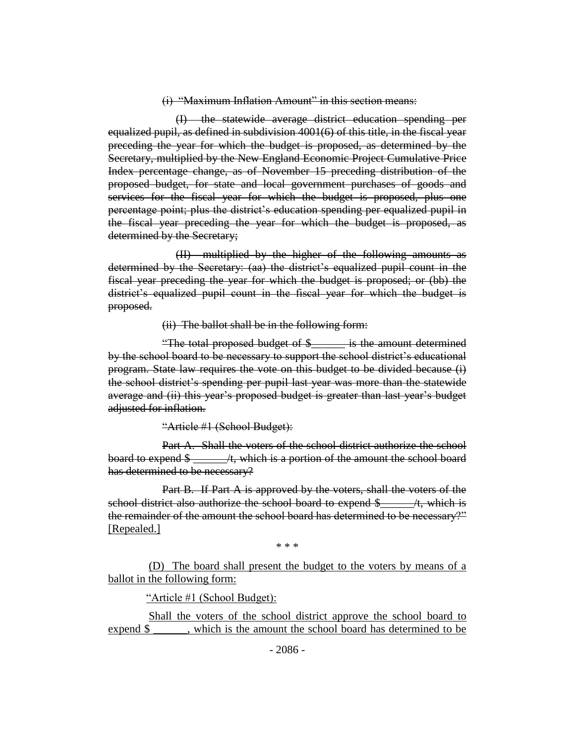#### (i) "Maximum Inflation Amount" in this section means:

(I) the statewide average district education spending per equalized pupil, as defined in subdivision 4001(6) of this title, in the fiscal year preceding the year for which the budget is proposed, as determined by the Secretary, multiplied by the New England Economic Project Cumulative Price Index percentage change, as of November 15 preceding distribution of the proposed budget, for state and local government purchases of goods and services for the fiscal year for which the budget is proposed, plus one percentage point; plus the district's education spending per equalized pupil in the fiscal year preceding the year for which the budget is proposed, as determined by the Secretary;

(II) multiplied by the higher of the following amounts as determined by the Secretary: (aa) the district's equalized pupil count in the fiscal year preceding the year for which the budget is proposed; or (bb) the district's equalized pupil count in the fiscal year for which the budget is proposed.

(ii) The ballot shall be in the following form:

"The total proposed budget of \$\_\_\_\_\_\_ is the amount determined by the school board to be necessary to support the school district's educational program. State law requires the vote on this budget to be divided because (i) the school district's spending per pupil last year was more than the statewide average and (ii) this year's proposed budget is greater than last year's budget adjusted for inflation.

"Article #1 (School Budget):

Part A. Shall the voters of the school district authorize the school board to expend  $\frac{1}{2}$   $\frac{1}{2}$  /t, which is a portion of the amount the school board has determined to be necessary?

Part B. If Part A is approved by the voters, shall the voters of the school district also authorize the school board to expend \$\_\_\_\_\_\_/t, which is the remainder of the amount the school board has determined to be necessary?" [Repealed.]

\* \* \*

(D) The board shall present the budget to the voters by means of a ballot in the following form:

"Article #1 (School Budget):

Shall the voters of the school district approve the school board to expend \$ \_\_\_\_\_, which is the amount the school board has determined to be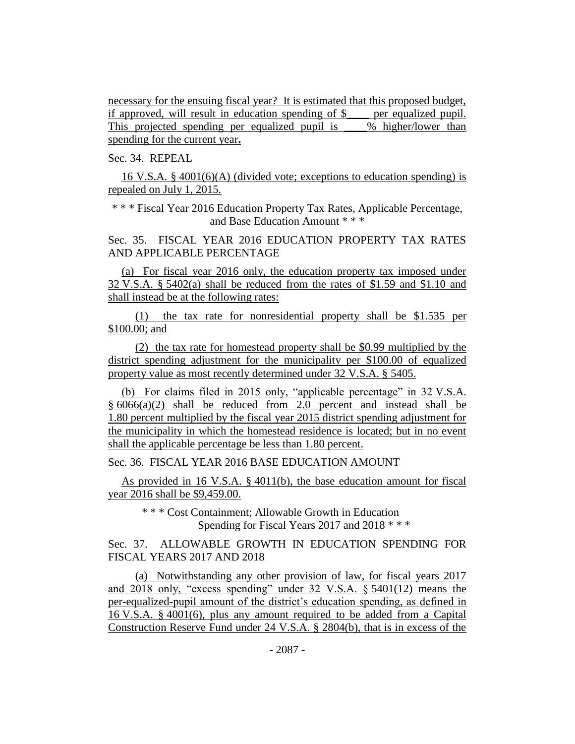necessary for the ensuing fiscal year? It is estimated that this proposed budget, if approved, will result in education spending of \$\_\_\_\_ per equalized pupil. This projected spending per equalized pupil is  $\%$  higher/lower than spending for the current year**.**

Sec. 34. REPEAL

16 V.S.A. § 4001(6)(A) (divided vote; exceptions to education spending) is repealed on July 1, 2015.

\* \* \* Fiscal Year 2016 Education Property Tax Rates, Applicable Percentage, and Base Education Amount \* \* \*

Sec. 35. FISCAL YEAR 2016 EDUCATION PROPERTY TAX RATES AND APPLICABLE PERCENTAGE

(a) For fiscal year 2016 only, the education property tax imposed under 32 V.S.A. § 5402(a) shall be reduced from the rates of \$1.59 and \$1.10 and shall instead be at the following rates:

(1) the tax rate for nonresidential property shall be \$1.535 per \$100.00; and

(2) the tax rate for homestead property shall be \$0.99 multiplied by the district spending adjustment for the municipality per \$100.00 of equalized property value as most recently determined under 32 V.S.A. § 5405.

(b) For claims filed in 2015 only, "applicable percentage" in 32 V.S.A.  $§ 6066(a)(2)$  shall be reduced from 2.0 percent and instead shall be 1.80 percent multiplied by the fiscal year 2015 district spending adjustment for the municipality in which the homestead residence is located; but in no event shall the applicable percentage be less than 1.80 percent.

Sec. 36. FISCAL YEAR 2016 BASE EDUCATION AMOUNT

As provided in 16 V.S.A. § 4011(b), the base education amount for fiscal year 2016 shall be \$9,459.00.

\* \* \* Cost Containment; Allowable Growth in Education Spending for Fiscal Years 2017 and 2018 \* \* \*

Sec. 37. ALLOWABLE GROWTH IN EDUCATION SPENDING FOR FISCAL YEARS 2017 AND 2018

(a) Notwithstanding any other provision of law, for fiscal years 2017 and 2018 only, "excess spending" under 32 V.S.A. § 5401(12) means the per-equalized-pupil amount of the district's education spending, as defined in 16 V.S.A. § 4001(6), plus any amount required to be added from a Capital Construction Reserve Fund under 24 V.S.A. § 2804(b), that is in excess of the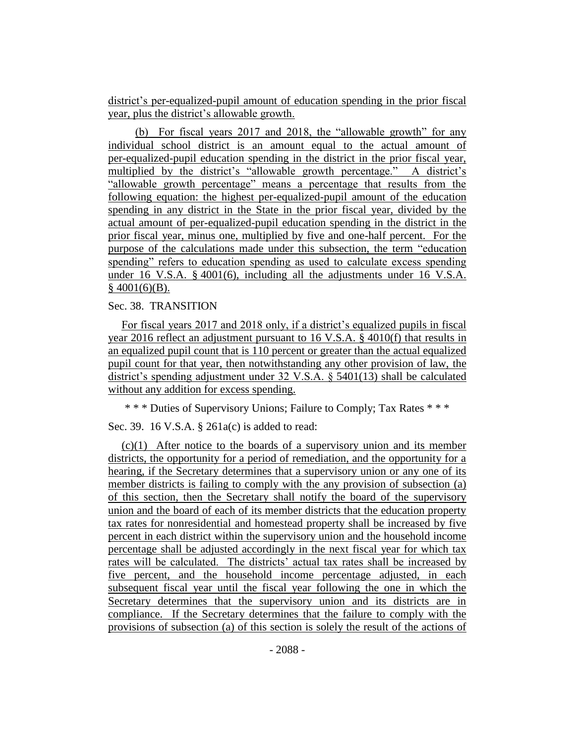district's per-equalized-pupil amount of education spending in the prior fiscal year, plus the district's allowable growth.

(b) For fiscal years 2017 and 2018, the "allowable growth" for any individual school district is an amount equal to the actual amount of per-equalized-pupil education spending in the district in the prior fiscal year, multiplied by the district's "allowable growth percentage." A district's "allowable growth percentage" means a percentage that results from the following equation: the highest per-equalized-pupil amount of the education spending in any district in the State in the prior fiscal year, divided by the actual amount of per-equalized-pupil education spending in the district in the prior fiscal year, minus one, multiplied by five and one-half percent. For the purpose of the calculations made under this subsection, the term "education spending" refers to education spending as used to calculate excess spending under 16 V.S.A. § 4001(6), including all the adjustments under 16 V.S.A.  $§$  4001(6)(B).

# Sec. 38. TRANSITION

For fiscal years 2017 and 2018 only, if a district's equalized pupils in fiscal year 2016 reflect an adjustment pursuant to 16 V.S.A. § 4010(f) that results in an equalized pupil count that is 110 percent or greater than the actual equalized pupil count for that year, then notwithstanding any other provision of law, the district's spending adjustment under 32 V.S.A. § 5401(13) shall be calculated without any addition for excess spending.

\* \* \* Duties of Supervisory Unions; Failure to Comply; Tax Rates \* \* \*

Sec. 39. 16 V.S.A. § 261a(c) is added to read:

 $(c)(1)$  After notice to the boards of a supervisory union and its member districts, the opportunity for a period of remediation, and the opportunity for a hearing, if the Secretary determines that a supervisory union or any one of its member districts is failing to comply with the any provision of subsection (a) of this section, then the Secretary shall notify the board of the supervisory union and the board of each of its member districts that the education property tax rates for nonresidential and homestead property shall be increased by five percent in each district within the supervisory union and the household income percentage shall be adjusted accordingly in the next fiscal year for which tax rates will be calculated. The districts' actual tax rates shall be increased by five percent, and the household income percentage adjusted, in each subsequent fiscal year until the fiscal year following the one in which the Secretary determines that the supervisory union and its districts are in compliance. If the Secretary determines that the failure to comply with the provisions of subsection (a) of this section is solely the result of the actions of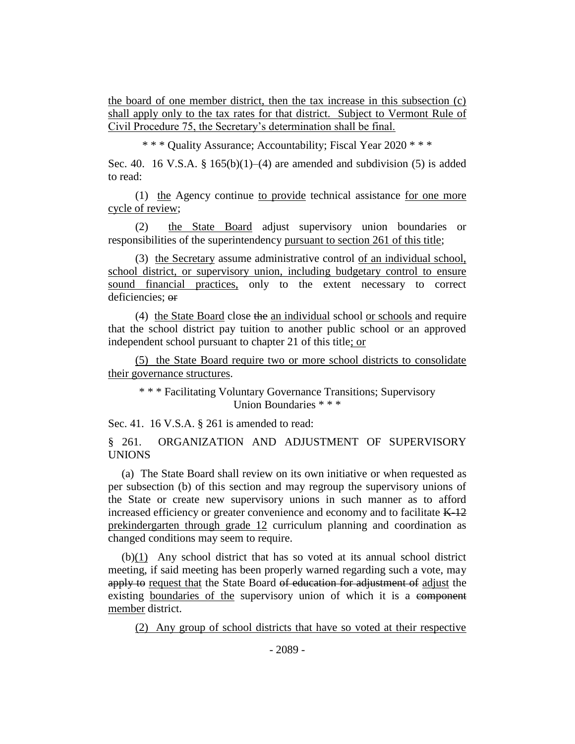the board of one member district, then the tax increase in this subsection (c) shall apply only to the tax rates for that district. Subject to Vermont Rule of Civil Procedure 75, the Secretary's determination shall be final.

\* \* \* Quality Assurance; Accountability; Fiscal Year 2020 \* \* \*

Sec. 40. 16 V.S.A. §  $165(b)(1)–(4)$  are amended and subdivision (5) is added to read:

(1) the Agency continue to provide technical assistance for one more cycle of review;

(2) the State Board adjust supervisory union boundaries or responsibilities of the superintendency pursuant to section 261 of this title;

(3) the Secretary assume administrative control of an individual school, school district, or supervisory union, including budgetary control to ensure sound financial practices, only to the extent necessary to correct deficiencies; or

(4) the State Board close the an individual school or schools and require that the school district pay tuition to another public school or an approved independent school pursuant to chapter 21 of this title; or

(5) the State Board require two or more school districts to consolidate their governance structures.

\* \* \* Facilitating Voluntary Governance Transitions; Supervisory Union Boundaries \* \* \*

Sec. 41. 16 V.S.A. § 261 is amended to read:

§ 261. ORGANIZATION AND ADJUSTMENT OF SUPERVISORY UNIONS

(a) The State Board shall review on its own initiative or when requested as per subsection (b) of this section and may regroup the supervisory unions of the State or create new supervisory unions in such manner as to afford increased efficiency or greater convenience and economy and to facilitate  $K-12$ prekindergarten through grade 12 curriculum planning and coordination as changed conditions may seem to require.

(b)(1) Any school district that has so voted at its annual school district meeting, if said meeting has been properly warned regarding such a vote, may apply to request that the State Board of education for adjustment of adjust the existing boundaries of the supervisory union of which it is a component member district.

(2) Any group of school districts that have so voted at their respective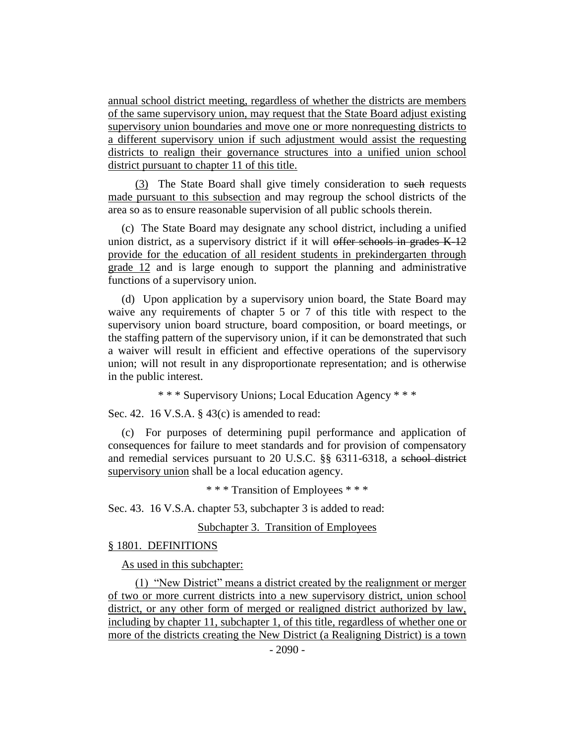annual school district meeting, regardless of whether the districts are members of the same supervisory union, may request that the State Board adjust existing supervisory union boundaries and move one or more nonrequesting districts to a different supervisory union if such adjustment would assist the requesting districts to realign their governance structures into a unified union school district pursuant to chapter 11 of this title.

(3) The State Board shall give timely consideration to such requests made pursuant to this subsection and may regroup the school districts of the area so as to ensure reasonable supervision of all public schools therein.

(c) The State Board may designate any school district, including a unified union district, as a supervisory district if it will offer schools in grades K-12 provide for the education of all resident students in prekindergarten through grade 12 and is large enough to support the planning and administrative functions of a supervisory union.

(d) Upon application by a supervisory union board, the State Board may waive any requirements of chapter 5 or 7 of this title with respect to the supervisory union board structure, board composition, or board meetings, or the staffing pattern of the supervisory union, if it can be demonstrated that such a waiver will result in efficient and effective operations of the supervisory union; will not result in any disproportionate representation; and is otherwise in the public interest.

\* \* \* Supervisory Unions; Local Education Agency \* \* \*

Sec. 42. 16 V.S.A. § 43(c) is amended to read:

(c) For purposes of determining pupil performance and application of consequences for failure to meet standards and for provision of compensatory and remedial services pursuant to 20 U.S.C. §§ 6311-6318, a school district supervisory union shall be a local education agency.

\* \* \* Transition of Employees \* \* \*

Sec. 43. 16 V.S.A. chapter 53, subchapter 3 is added to read:

Subchapter 3. Transition of Employees

#### § 1801. DEFINITIONS

As used in this subchapter:

(1) "New District" means a district created by the realignment or merger of two or more current districts into a new supervisory district, union school district, or any other form of merged or realigned district authorized by law, including by chapter 11, subchapter 1, of this title, regardless of whether one or more of the districts creating the New District (a Realigning District) is a town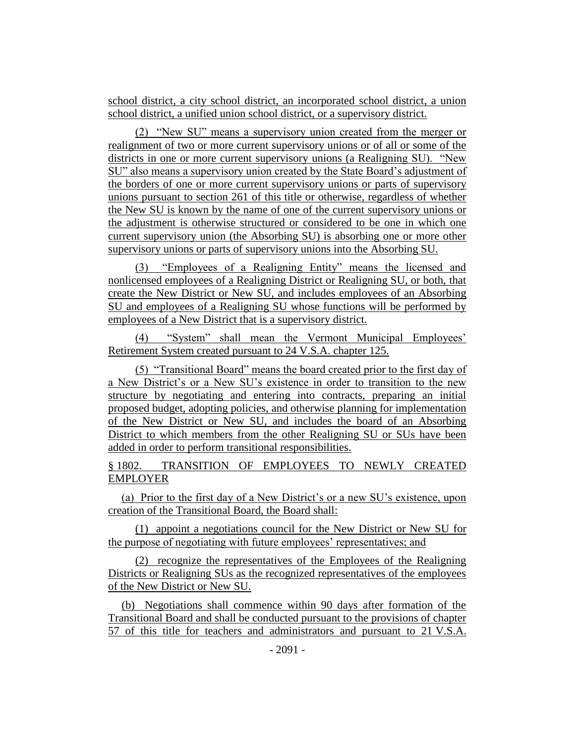school district, a city school district, an incorporated school district, a union school district, a unified union school district, or a supervisory district.

(2) "New SU" means a supervisory union created from the merger or realignment of two or more current supervisory unions or of all or some of the districts in one or more current supervisory unions (a Realigning SU). "New SU" also means a supervisory union created by the State Board's adjustment of the borders of one or more current supervisory unions or parts of supervisory unions pursuant to section 261 of this title or otherwise, regardless of whether the New SU is known by the name of one of the current supervisory unions or the adjustment is otherwise structured or considered to be one in which one current supervisory union (the Absorbing SU) is absorbing one or more other supervisory unions or parts of supervisory unions into the Absorbing SU.

(3) "Employees of a Realigning Entity" means the licensed and nonlicensed employees of a Realigning District or Realigning SU, or both, that create the New District or New SU, and includes employees of an Absorbing SU and employees of a Realigning SU whose functions will be performed by employees of a New District that is a supervisory district.

(4) "System" shall mean the Vermont Municipal Employees' Retirement System created pursuant to 24 V.S.A. chapter 125.

(5) "Transitional Board" means the board created prior to the first day of a New District's or a New SU's existence in order to transition to the new structure by negotiating and entering into contracts, preparing an initial proposed budget, adopting policies, and otherwise planning for implementation of the New District or New SU, and includes the board of an Absorbing District to which members from the other Realigning SU or SUs have been added in order to perform transitional responsibilities.

§ 1802. TRANSITION OF EMPLOYEES TO NEWLY CREATED EMPLOYER

(a) Prior to the first day of a New District's or a new SU's existence, upon creation of the Transitional Board, the Board shall:

(1) appoint a negotiations council for the New District or New SU for the purpose of negotiating with future employees' representatives; and

(2) recognize the representatives of the Employees of the Realigning Districts or Realigning SUs as the recognized representatives of the employees of the New District or New SU.

(b) Negotiations shall commence within 90 days after formation of the Transitional Board and shall be conducted pursuant to the provisions of chapter 57 of this title for teachers and administrators and pursuant to 21 V.S.A.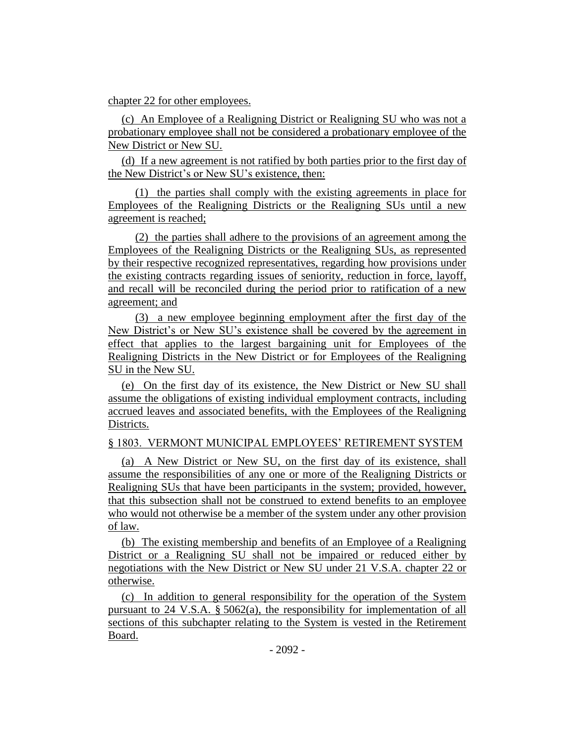#### chapter 22 for other employees.

(c) An Employee of a Realigning District or Realigning SU who was not a probationary employee shall not be considered a probationary employee of the New District or New SU.

(d) If a new agreement is not ratified by both parties prior to the first day of the New District's or New SU's existence, then:

(1) the parties shall comply with the existing agreements in place for Employees of the Realigning Districts or the Realigning SUs until a new agreement is reached;

(2) the parties shall adhere to the provisions of an agreement among the Employees of the Realigning Districts or the Realigning SUs, as represented by their respective recognized representatives, regarding how provisions under the existing contracts regarding issues of seniority, reduction in force, layoff, and recall will be reconciled during the period prior to ratification of a new agreement; and

(3) a new employee beginning employment after the first day of the New District's or New SU's existence shall be covered by the agreement in effect that applies to the largest bargaining unit for Employees of the Realigning Districts in the New District or for Employees of the Realigning SU in the New SU.

(e) On the first day of its existence, the New District or New SU shall assume the obligations of existing individual employment contracts, including accrued leaves and associated benefits, with the Employees of the Realigning Districts.

#### § 1803. VERMONT MUNICIPAL EMPLOYEES' RETIREMENT SYSTEM

(a) A New District or New SU, on the first day of its existence, shall assume the responsibilities of any one or more of the Realigning Districts or Realigning SUs that have been participants in the system; provided, however, that this subsection shall not be construed to extend benefits to an employee who would not otherwise be a member of the system under any other provision of law.

(b) The existing membership and benefits of an Employee of a Realigning District or a Realigning SU shall not be impaired or reduced either by negotiations with the New District or New SU under 21 V.S.A. chapter 22 or otherwise.

(c) In addition to general responsibility for the operation of the System pursuant to 24 V.S.A.  $\S$  5062(a), the responsibility for implementation of all sections of this subchapter relating to the System is vested in the Retirement Board.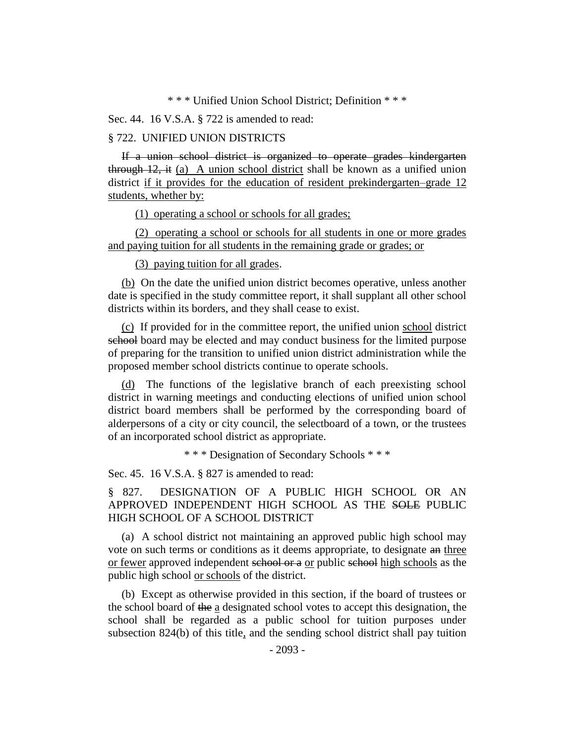\* \* \* Unified Union School District; Definition \* \* \*

Sec. 44. 16 V.S.A. § 722 is amended to read:

#### § 722. UNIFIED UNION DISTRICTS

If a union school district is organized to operate grades kindergarten through 12, it (a) A union school district shall be known as a unified union district if it provides for the education of resident prekindergarten–grade 12 students, whether by:

(1) operating a school or schools for all grades;

(2) operating a school or schools for all students in one or more grades and paying tuition for all students in the remaining grade or grades; or

(3) paying tuition for all grades.

(b) On the date the unified union district becomes operative, unless another date is specified in the study committee report, it shall supplant all other school districts within its borders, and they shall cease to exist.

(c) If provided for in the committee report, the unified union school district school board may be elected and may conduct business for the limited purpose of preparing for the transition to unified union district administration while the proposed member school districts continue to operate schools.

(d) The functions of the legislative branch of each preexisting school district in warning meetings and conducting elections of unified union school district board members shall be performed by the corresponding board of alderpersons of a city or city council, the selectboard of a town, or the trustees of an incorporated school district as appropriate.

\* \* \* Designation of Secondary Schools \* \* \*

Sec. 45. 16 V.S.A. § 827 is amended to read:

§ 827. DESIGNATION OF A PUBLIC HIGH SCHOOL OR AN APPROVED INDEPENDENT HIGH SCHOOL AS THE SOLE PUBLIC HIGH SCHOOL OF A SCHOOL DISTRICT

(a) A school district not maintaining an approved public high school may vote on such terms or conditions as it deems appropriate, to designate an three or fewer approved independent school or a or public school high schools as the public high school or schools of the district.

(b) Except as otherwise provided in this section, if the board of trustees or the school board of the a designated school votes to accept this designation, the school shall be regarded as a public school for tuition purposes under subsection 824(b) of this title, and the sending school district shall pay tuition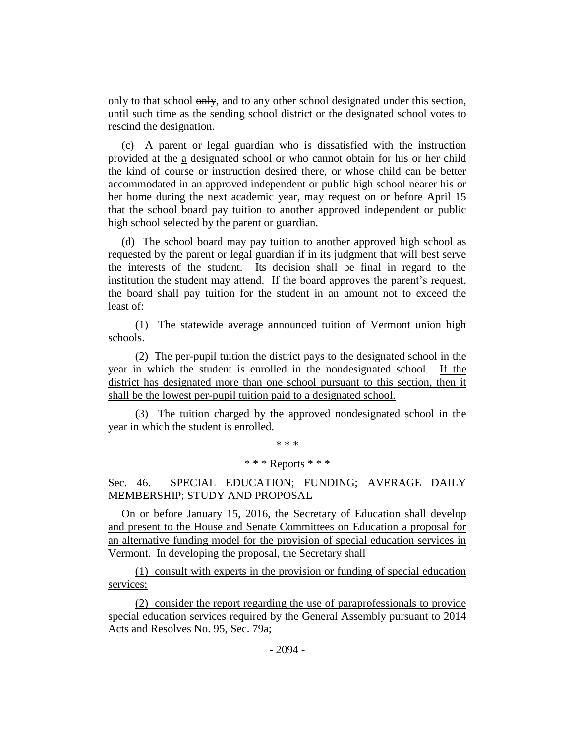only to that school  $\theta$ nly, and to any other school designated under this section, until such time as the sending school district or the designated school votes to rescind the designation.

(c) A parent or legal guardian who is dissatisfied with the instruction provided at the a designated school or who cannot obtain for his or her child the kind of course or instruction desired there, or whose child can be better accommodated in an approved independent or public high school nearer his or her home during the next academic year, may request on or before April 15 that the school board pay tuition to another approved independent or public high school selected by the parent or guardian.

(d) The school board may pay tuition to another approved high school as requested by the parent or legal guardian if in its judgment that will best serve the interests of the student. Its decision shall be final in regard to the institution the student may attend. If the board approves the parent's request, the board shall pay tuition for the student in an amount not to exceed the least of:

(1) The statewide average announced tuition of Vermont union high schools.

(2) The per-pupil tuition the district pays to the designated school in the year in which the student is enrolled in the nondesignated school. If the district has designated more than one school pursuant to this section, then it shall be the lowest per-pupil tuition paid to a designated school.

(3) The tuition charged by the approved nondesignated school in the year in which the student is enrolled.

\* \* \*

#### \* \* \* Reports \* \* \*

Sec. 46. SPECIAL EDUCATION; FUNDING; AVERAGE DAILY MEMBERSHIP; STUDY AND PROPOSAL

On or before January 15, 2016, the Secretary of Education shall develop and present to the House and Senate Committees on Education a proposal for an alternative funding model for the provision of special education services in Vermont. In developing the proposal, the Secretary shall

(1) consult with experts in the provision or funding of special education services;

(2) consider the report regarding the use of paraprofessionals to provide special education services required by the General Assembly pursuant to 2014 Acts and Resolves No. 95, Sec. 79a;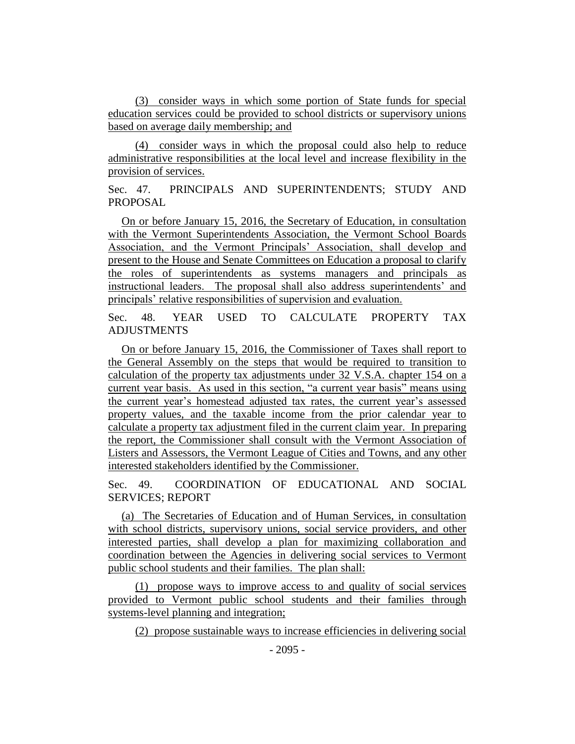(3) consider ways in which some portion of State funds for special education services could be provided to school districts or supervisory unions based on average daily membership; and

(4) consider ways in which the proposal could also help to reduce administrative responsibilities at the local level and increase flexibility in the provision of services.

Sec. 47. PRINCIPALS AND SUPERINTENDENTS; STUDY AND PROPOSAL

On or before January 15, 2016, the Secretary of Education, in consultation with the Vermont Superintendents Association, the Vermont School Boards Association, and the Vermont Principals' Association, shall develop and present to the House and Senate Committees on Education a proposal to clarify the roles of superintendents as systems managers and principals as instructional leaders. The proposal shall also address superintendents' and principals' relative responsibilities of supervision and evaluation.

Sec. 48. YEAR USED TO CALCULATE PROPERTY TAX ADJUSTMENTS

On or before January 15, 2016, the Commissioner of Taxes shall report to the General Assembly on the steps that would be required to transition to calculation of the property tax adjustments under 32 V.S.A. chapter 154 on a current year basis. As used in this section, "a current year basis" means using the current year's homestead adjusted tax rates, the current year's assessed property values, and the taxable income from the prior calendar year to calculate a property tax adjustment filed in the current claim year. In preparing the report, the Commissioner shall consult with the Vermont Association of Listers and Assessors, the Vermont League of Cities and Towns, and any other interested stakeholders identified by the Commissioner.

Sec. 49. COORDINATION OF EDUCATIONAL AND SOCIAL SERVICES; REPORT

(a) The Secretaries of Education and of Human Services, in consultation with school districts, supervisory unions, social service providers, and other interested parties, shall develop a plan for maximizing collaboration and coordination between the Agencies in delivering social services to Vermont public school students and their families. The plan shall:

(1) propose ways to improve access to and quality of social services provided to Vermont public school students and their families through systems-level planning and integration;

(2) propose sustainable ways to increase efficiencies in delivering social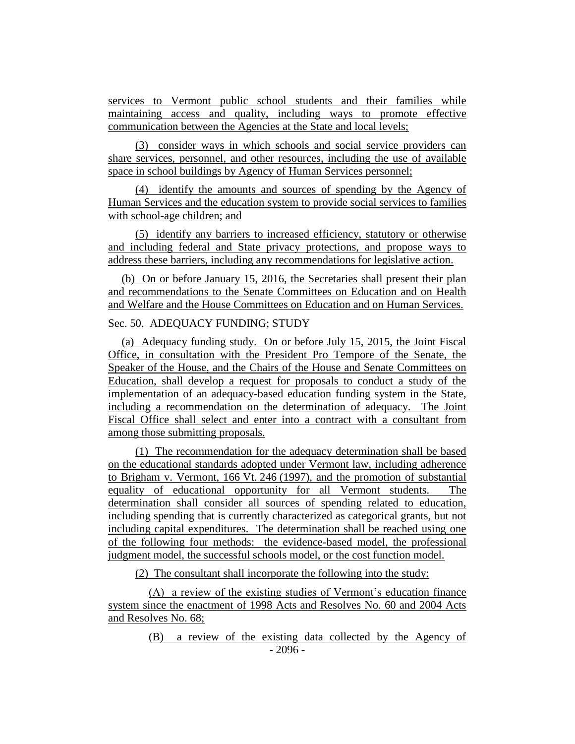services to Vermont public school students and their families while maintaining access and quality, including ways to promote effective communication between the Agencies at the State and local levels;

(3) consider ways in which schools and social service providers can share services, personnel, and other resources, including the use of available space in school buildings by Agency of Human Services personnel;

(4) identify the amounts and sources of spending by the Agency of Human Services and the education system to provide social services to families with school-age children; and

(5) identify any barriers to increased efficiency, statutory or otherwise and including federal and State privacy protections, and propose ways to address these barriers, including any recommendations for legislative action.

(b) On or before January 15, 2016, the Secretaries shall present their plan and recommendations to the Senate Committees on Education and on Health and Welfare and the House Committees on Education and on Human Services.

# Sec. 50. ADEQUACY FUNDING; STUDY

(a) Adequacy funding study. On or before July 15, 2015, the Joint Fiscal Office, in consultation with the President Pro Tempore of the Senate, the Speaker of the House, and the Chairs of the House and Senate Committees on Education, shall develop a request for proposals to conduct a study of the implementation of an adequacy-based education funding system in the State, including a recommendation on the determination of adequacy. The Joint Fiscal Office shall select and enter into a contract with a consultant from among those submitting proposals.

(1) The recommendation for the adequacy determination shall be based on the educational standards adopted under Vermont law, including adherence to Brigham v. Vermont, 166 Vt. 246 (1997), and the promotion of substantial equality of educational opportunity for all Vermont students. The determination shall consider all sources of spending related to education, including spending that is currently characterized as categorical grants, but not including capital expenditures. The determination shall be reached using one of the following four methods: the evidence-based model, the professional judgment model, the successful schools model, or the cost function model.

(2) The consultant shall incorporate the following into the study:

(A) a review of the existing studies of Vermont's education finance system since the enactment of 1998 Acts and Resolves No. 60 and 2004 Acts and Resolves No. 68;

> - 2096 - (B) a review of the existing data collected by the Agency of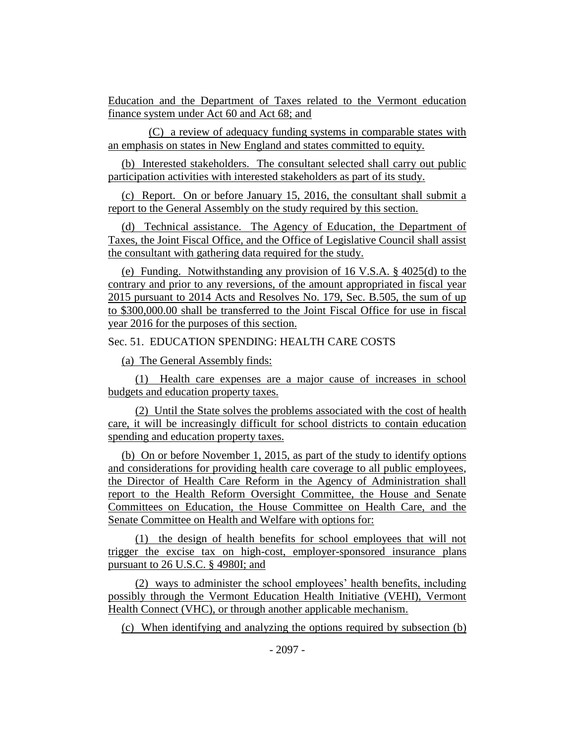Education and the Department of Taxes related to the Vermont education finance system under Act 60 and Act 68; and

(C) a review of adequacy funding systems in comparable states with an emphasis on states in New England and states committed to equity.

(b) Interested stakeholders. The consultant selected shall carry out public participation activities with interested stakeholders as part of its study.

(c) Report. On or before January 15, 2016, the consultant shall submit a report to the General Assembly on the study required by this section.

(d) Technical assistance. The Agency of Education, the Department of Taxes, the Joint Fiscal Office, and the Office of Legislative Council shall assist the consultant with gathering data required for the study.

(e) Funding. Notwithstanding any provision of 16 V.S.A. § 4025(d) to the contrary and prior to any reversions, of the amount appropriated in fiscal year 2015 pursuant to 2014 Acts and Resolves No. 179, Sec. B.505, the sum of up to \$300,000.00 shall be transferred to the Joint Fiscal Office for use in fiscal year 2016 for the purposes of this section.

Sec. 51. EDUCATION SPENDING: HEALTH CARE COSTS

(a) The General Assembly finds:

(1) Health care expenses are a major cause of increases in school budgets and education property taxes.

(2) Until the State solves the problems associated with the cost of health care, it will be increasingly difficult for school districts to contain education spending and education property taxes.

(b) On or before November 1, 2015, as part of the study to identify options and considerations for providing health care coverage to all public employees, the Director of Health Care Reform in the Agency of Administration shall report to the Health Reform Oversight Committee, the House and Senate Committees on Education, the House Committee on Health Care, and the Senate Committee on Health and Welfare with options for:

(1) the design of health benefits for school employees that will not trigger the excise tax on high-cost, employer-sponsored insurance plans pursuant to 26 U.S.C. § 4980I; and

(2) ways to administer the school employees' health benefits, including possibly through the Vermont Education Health Initiative (VEHI), Vermont Health Connect (VHC), or through another applicable mechanism.

(c) When identifying and analyzing the options required by subsection (b)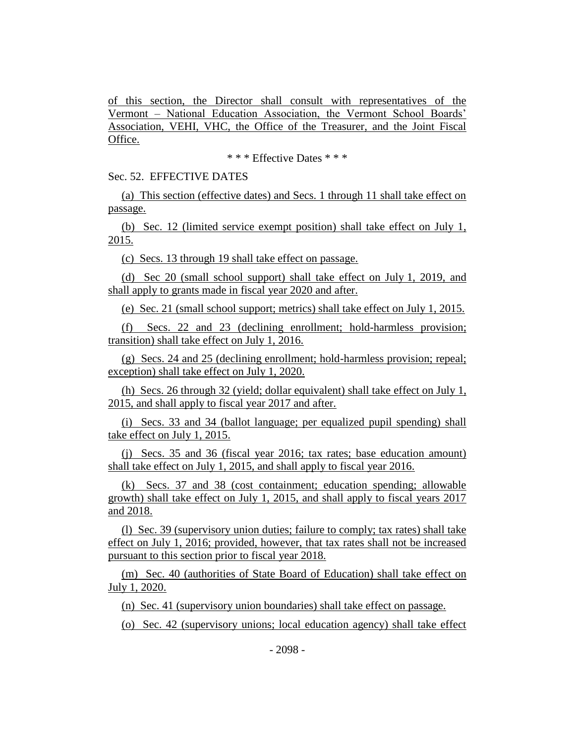of this section, the Director shall consult with representatives of the Vermont – National Education Association, the Vermont School Boards' Association, VEHI, VHC, the Office of the Treasurer, and the Joint Fiscal Office.

\* \* \* Effective Dates \* \* \*

Sec. 52. EFFECTIVE DATES

(a) This section (effective dates) and Secs. 1 through 11 shall take effect on passage.

(b) Sec. 12 (limited service exempt position) shall take effect on July 1, 2015.

(c) Secs. 13 through 19 shall take effect on passage.

(d) Sec 20 (small school support) shall take effect on July 1, 2019, and shall apply to grants made in fiscal year 2020 and after.

(e) Sec. 21 (small school support; metrics) shall take effect on July 1, 2015.

(f) Secs. 22 and 23 (declining enrollment; hold-harmless provision; transition) shall take effect on July 1, 2016.

(g) Secs. 24 and 25 (declining enrollment; hold-harmless provision; repeal; exception) shall take effect on July 1, 2020.

(h) Secs. 26 through 32 (yield; dollar equivalent) shall take effect on July 1, 2015, and shall apply to fiscal year 2017 and after.

(i) Secs. 33 and 34 (ballot language; per equalized pupil spending) shall take effect on July 1, 2015.

(j) Secs. 35 and 36 (fiscal year 2016; tax rates; base education amount) shall take effect on July 1, 2015, and shall apply to fiscal year 2016.

(k) Secs. 37 and 38 (cost containment; education spending; allowable growth) shall take effect on July 1, 2015, and shall apply to fiscal years 2017 and 2018.

(l) Sec. 39 (supervisory union duties; failure to comply; tax rates) shall take effect on July 1, 2016; provided, however, that tax rates shall not be increased pursuant to this section prior to fiscal year 2018.

(m) Sec. 40 (authorities of State Board of Education) shall take effect on July 1, 2020.

(n) Sec. 41 (supervisory union boundaries) shall take effect on passage.

(o) Sec. 42 (supervisory unions; local education agency) shall take effect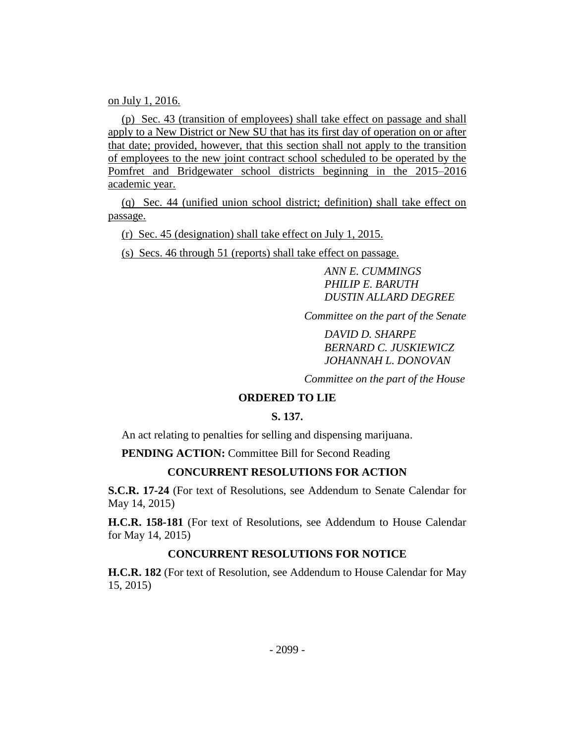on July 1, 2016.

(p) Sec. 43 (transition of employees) shall take effect on passage and shall apply to a New District or New SU that has its first day of operation on or after that date; provided, however, that this section shall not apply to the transition of employees to the new joint contract school scheduled to be operated by the Pomfret and Bridgewater school districts beginning in the 2015–2016 academic year.

(q) Sec. 44 (unified union school district; definition) shall take effect on passage.

(r) Sec. 45 (designation) shall take effect on July 1, 2015.

(s) Secs. 46 through 51 (reports) shall take effect on passage.

*ANN E. CUMMINGS PHILIP E. BARUTH DUSTIN ALLARD DEGREE*

*Committee on the part of the Senate*

*DAVID D. SHARPE BERNARD C. JUSKIEWICZ JOHANNAH L. DONOVAN*

*Committee on the part of the House*

# **ORDERED TO LIE**

# **S. 137.**

An act relating to penalties for selling and dispensing marijuana.

**PENDING ACTION:** Committee Bill for Second Reading

# **CONCURRENT RESOLUTIONS FOR ACTION**

**S.C.R. 17-24** (For text of Resolutions, see Addendum to Senate Calendar for May 14, 2015)

**H.C.R. 158-181** (For text of Resolutions, see Addendum to House Calendar for May 14, 2015)

# **CONCURRENT RESOLUTIONS FOR NOTICE**

**H.C.R. 182** (For text of Resolution, see Addendum to House Calendar for May 15, 2015)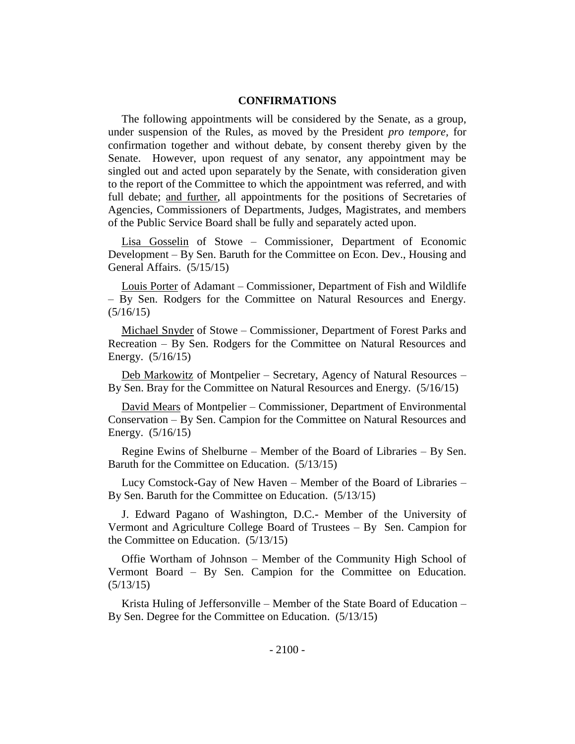## **CONFIRMATIONS**

The following appointments will be considered by the Senate, as a group, under suspension of the Rules, as moved by the President *pro tempore,* for confirmation together and without debate, by consent thereby given by the Senate. However, upon request of any senator, any appointment may be singled out and acted upon separately by the Senate, with consideration given to the report of the Committee to which the appointment was referred, and with full debate; and further, all appointments for the positions of Secretaries of Agencies, Commissioners of Departments, Judges, Magistrates, and members of the Public Service Board shall be fully and separately acted upon.

Lisa Gosselin of Stowe – Commissioner, Department of Economic Development – By Sen. Baruth for the Committee on Econ. Dev., Housing and General Affairs. (5/15/15)

Louis Porter of Adamant – Commissioner, Department of Fish and Wildlife – By Sen. Rodgers for the Committee on Natural Resources and Energy.  $(5/16/15)$ 

Michael Snyder of Stowe – Commissioner, Department of Forest Parks and Recreation – By Sen. Rodgers for the Committee on Natural Resources and Energy. (5/16/15)

Deb Markowitz of Montpelier – Secretary, Agency of Natural Resources – By Sen. Bray for the Committee on Natural Resources and Energy. (5/16/15)

David Mears of Montpelier – Commissioner, Department of Environmental Conservation – By Sen. Campion for the Committee on Natural Resources and Energy. (5/16/15)

Regine Ewins of Shelburne – Member of the Board of Libraries – By Sen. Baruth for the Committee on Education. (5/13/15)

Lucy Comstock-Gay of New Haven – Member of the Board of Libraries – By Sen. Baruth for the Committee on Education. (5/13/15)

J. Edward Pagano of Washington, D.C.- Member of the University of Vermont and Agriculture College Board of Trustees – By Sen. Campion for the Committee on Education. (5/13/15)

Offie Wortham of Johnson – Member of the Community High School of Vermont Board – By Sen. Campion for the Committee on Education. (5/13/15)

Krista Huling of Jeffersonville – Member of the State Board of Education – By Sen. Degree for the Committee on Education. (5/13/15)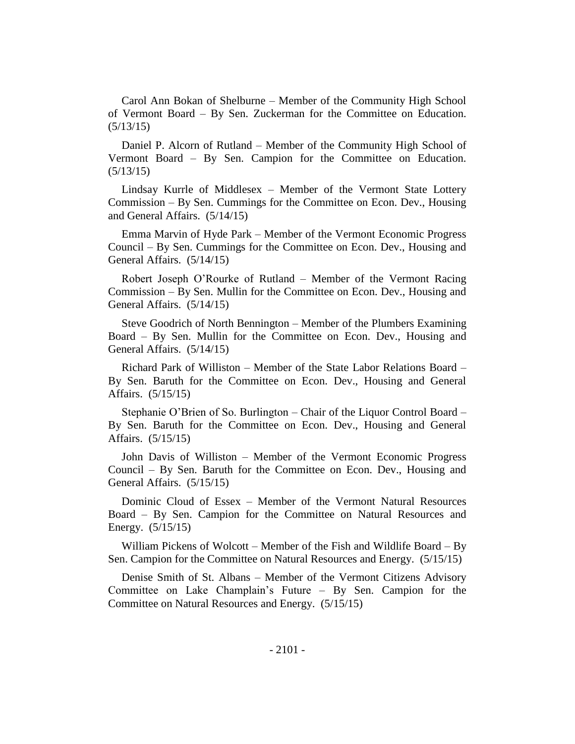Carol Ann Bokan of Shelburne – Member of the Community High School of Vermont Board – By Sen. Zuckerman for the Committee on Education. (5/13/15)

Daniel P. Alcorn of Rutland – Member of the Community High School of Vermont Board – By Sen. Campion for the Committee on Education. (5/13/15)

Lindsay Kurrle of Middlesex – Member of the Vermont State Lottery Commission – By Sen. Cummings for the Committee on Econ. Dev., Housing and General Affairs. (5/14/15)

Emma Marvin of Hyde Park – Member of the Vermont Economic Progress Council – By Sen. Cummings for the Committee on Econ. Dev., Housing and General Affairs. (5/14/15)

Robert Joseph O'Rourke of Rutland – Member of the Vermont Racing Commission – By Sen. Mullin for the Committee on Econ. Dev., Housing and General Affairs. (5/14/15)

Steve Goodrich of North Bennington – Member of the Plumbers Examining Board – By Sen. Mullin for the Committee on Econ. Dev., Housing and General Affairs. (5/14/15)

Richard Park of Williston – Member of the State Labor Relations Board – By Sen. Baruth for the Committee on Econ. Dev., Housing and General Affairs. (5/15/15)

Stephanie O'Brien of So. Burlington – Chair of the Liquor Control Board – By Sen. Baruth for the Committee on Econ. Dev., Housing and General Affairs. (5/15/15)

John Davis of Williston – Member of the Vermont Economic Progress Council – By Sen. Baruth for the Committee on Econ. Dev., Housing and General Affairs. (5/15/15)

Dominic Cloud of Essex – Member of the Vermont Natural Resources Board – By Sen. Campion for the Committee on Natural Resources and Energy. (5/15/15)

William Pickens of Wolcott – Member of the Fish and Wildlife Board – By Sen. Campion for the Committee on Natural Resources and Energy. (5/15/15)

Denise Smith of St. Albans – Member of the Vermont Citizens Advisory Committee on Lake Champlain's Future – By Sen. Campion for the Committee on Natural Resources and Energy. (5/15/15)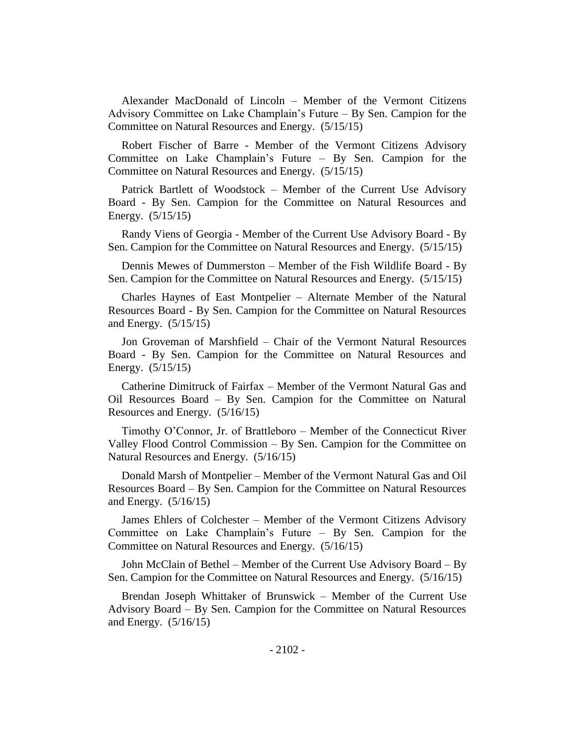Alexander MacDonald of Lincoln – Member of the Vermont Citizens Advisory Committee on Lake Champlain's Future – By Sen. Campion for the Committee on Natural Resources and Energy. (5/15/15)

Robert Fischer of Barre - Member of the Vermont Citizens Advisory Committee on Lake Champlain's Future – By Sen. Campion for the Committee on Natural Resources and Energy. (5/15/15)

Patrick Bartlett of Woodstock – Member of the Current Use Advisory Board - By Sen. Campion for the Committee on Natural Resources and Energy. (5/15/15)

Randy Viens of Georgia - Member of the Current Use Advisory Board - By Sen. Campion for the Committee on Natural Resources and Energy. (5/15/15)

Dennis Mewes of Dummerston – Member of the Fish Wildlife Board - By Sen. Campion for the Committee on Natural Resources and Energy. (5/15/15)

Charles Haynes of East Montpelier – Alternate Member of the Natural Resources Board - By Sen. Campion for the Committee on Natural Resources and Energy. (5/15/15)

Jon Groveman of Marshfield – Chair of the Vermont Natural Resources Board - By Sen. Campion for the Committee on Natural Resources and Energy. (5/15/15)

Catherine Dimitruck of Fairfax – Member of the Vermont Natural Gas and Oil Resources Board – By Sen. Campion for the Committee on Natural Resources and Energy. (5/16/15)

Timothy O'Connor, Jr. of Brattleboro – Member of the Connecticut River Valley Flood Control Commission – By Sen. Campion for the Committee on Natural Resources and Energy. (5/16/15)

Donald Marsh of Montpelier – Member of the Vermont Natural Gas and Oil Resources Board – By Sen. Campion for the Committee on Natural Resources and Energy. (5/16/15)

James Ehlers of Colchester – Member of the Vermont Citizens Advisory Committee on Lake Champlain's Future – By Sen. Campion for the Committee on Natural Resources and Energy. (5/16/15)

John McClain of Bethel – Member of the Current Use Advisory Board – By Sen. Campion for the Committee on Natural Resources and Energy. (5/16/15)

Brendan Joseph Whittaker of Brunswick – Member of the Current Use Advisory Board – By Sen. Campion for the Committee on Natural Resources and Energy. (5/16/15)